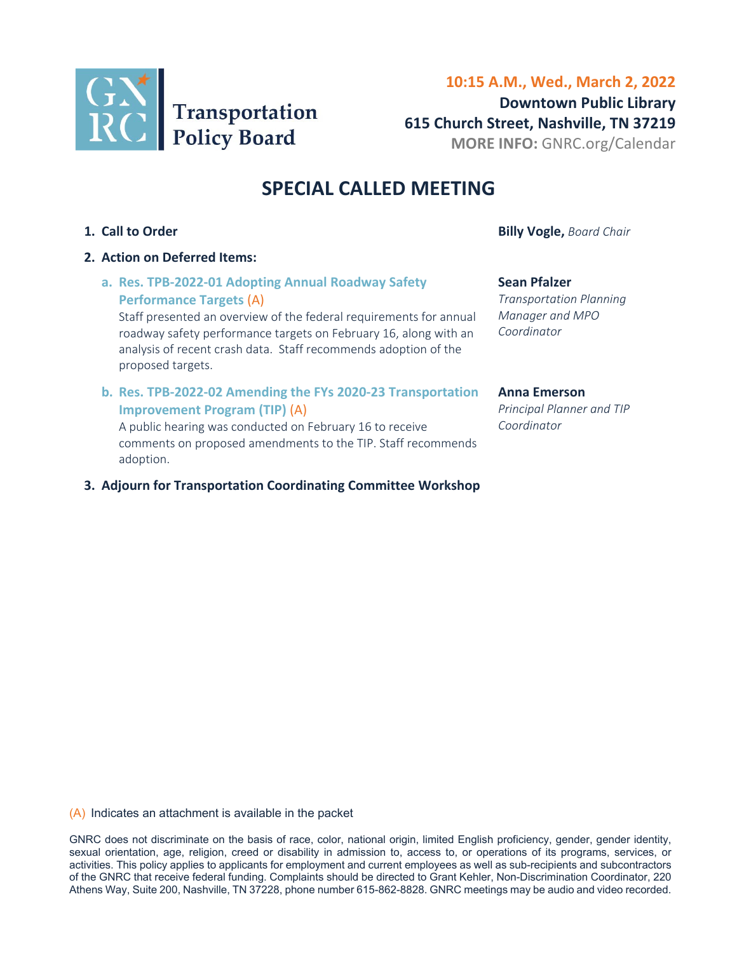

# **10:15 A.M., Wed., March 2, 2022 Downtown Public Library 615 Church Street, Nashville, TN 37219 MORE INFO:** [GNRC.org/Calendar](www.gnrc.org/calendar)

# **SPECIAL CALLED MEETING**

- 
- **2. Action on Deferred Items:** 
	- **a. [Res. TPB‐2022‐01 Adopting Annual Roadway Safety](#page-1-0)  Performance Targets** (A)

Staff presented an overview of the federal requirements for annual roadway safety performance targets on February 16, along with an analysis of recent crash data. Staff recommends adoption of the proposed targets.

**b. [Res. TPB‐2022‐02 Amending the FYs 2020‐23 Transportation](#page-9-0) Improvement Program (TIP)** (A)

A public hearing was conducted on February 16 to receive comments on proposed amendments to the TIP. Staff recommends adoption.

**3. Adjourn for Transportation Coordinating Committee Workshop** 

**1. Call to Order Billy Vogle,** *Board Chair* 

#### **Sean Pfalzer**

*Transportation Planning Manager and MPO Coordinator*

#### **Anna Emerson**

*Principal Planner and TIP Coordinator*

(A) Indicates an attachment is available in the packet

GNRC does not discriminate on the basis of race, color, national origin, limited English proficiency, gender, gender identity, sexual orientation, age, religion, creed or disability in admission to, access to, or operations of its programs, services, or activities. This policy applies to applicants for employment and current employees as well as sub-recipients and subcontractors of the GNRC that receive federal funding. Complaints should be directed to Grant Kehler, Non-Discrimination Coordinator, 220 Athens Way, Suite 200, Nashville, TN 37228, phone number 615-862-8828. GNRC meetings may be audio and video recorded.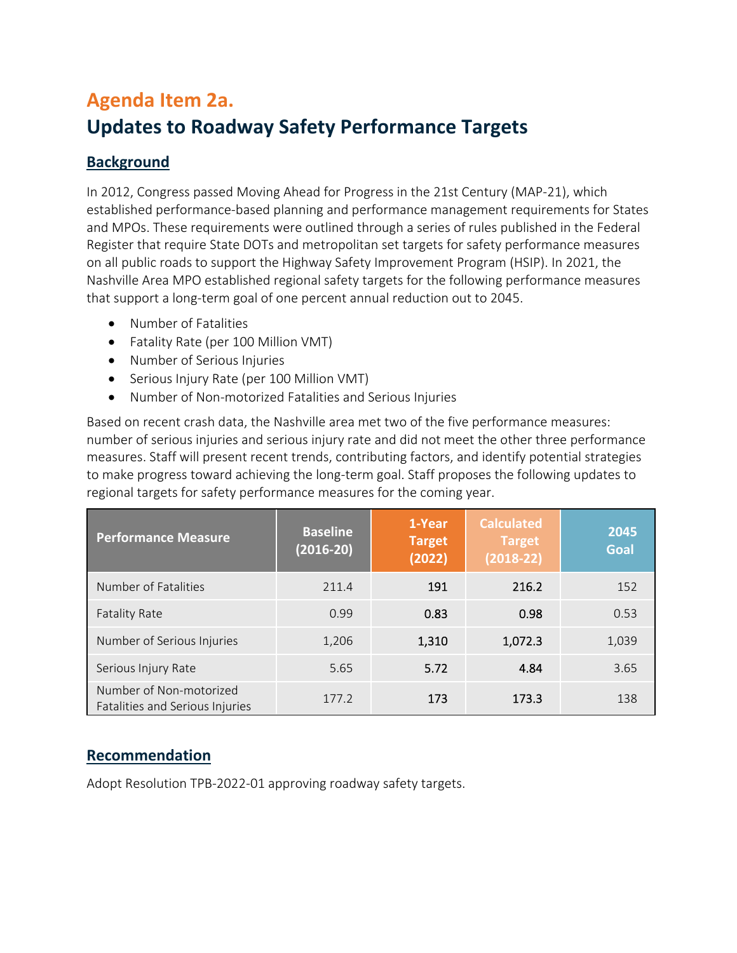# <span id="page-1-0"></span>**Agenda Item 2a. Updates to Roadway Safety Performance Targets**

# **Background**

In 2012, Congress passed Moving Ahead for Progress in the 21st Century (MAP‐21), which established performance‐based planning and performance management requirements for States and MPOs. These requirements were outlined through a series of rules published in the Federal Register that require State DOTs and metropolitan set targets for safety performance measures on all public roads to support the Highway Safety Improvement Program (HSIP). In 2021, the Nashville Area MPO established regional safety targets for the following performance measures that support a long‐term goal of one percent annual reduction out to 2045.

- Number of Fatalities
- Fatality Rate (per 100 Million VMT)
- Number of Serious Injuries
- Serious Injury Rate (per 100 Million VMT)
- Number of Non‐motorized Fatalities and Serious Injuries

Based on recent crash data, the Nashville area met two of the five performance measures: number of serious injuries and serious injury rate and did not meet the other three performance measures. Staff will present recent trends, contributing factors, and identify potential strategies to make progress toward achieving the long‐term goal. Staff proposes the following updates to regional targets for safety performance measures for the coming year.

| <b>Performance Measure</b>                                 | <b>Baseline</b><br>$(2016-20)$ | 1-Year<br><b>Target</b><br>(2022) | <b>Calculated</b><br><b>Target</b><br>$(2018-22)$ | 2045<br><b>Goal</b> |
|------------------------------------------------------------|--------------------------------|-----------------------------------|---------------------------------------------------|---------------------|
| Number of Fatalities                                       | 211.4                          | 191                               | 216.2                                             | 152                 |
| <b>Fatality Rate</b>                                       | 0.99                           | 0.83                              | 0.98                                              | 0.53                |
| Number of Serious Injuries                                 | 1,206                          | 1,310                             | 1,072.3                                           | 1,039               |
| Serious Injury Rate                                        | 5.65                           | 5.72                              | 4.84                                              | 3.65                |
| Number of Non-motorized<br>Fatalities and Serious Injuries | 177.2                          | 173                               | 173.3                                             | 138                 |

# **Recommendation**

Adopt Resolution TPB‐2022‐01 approving roadway safety targets.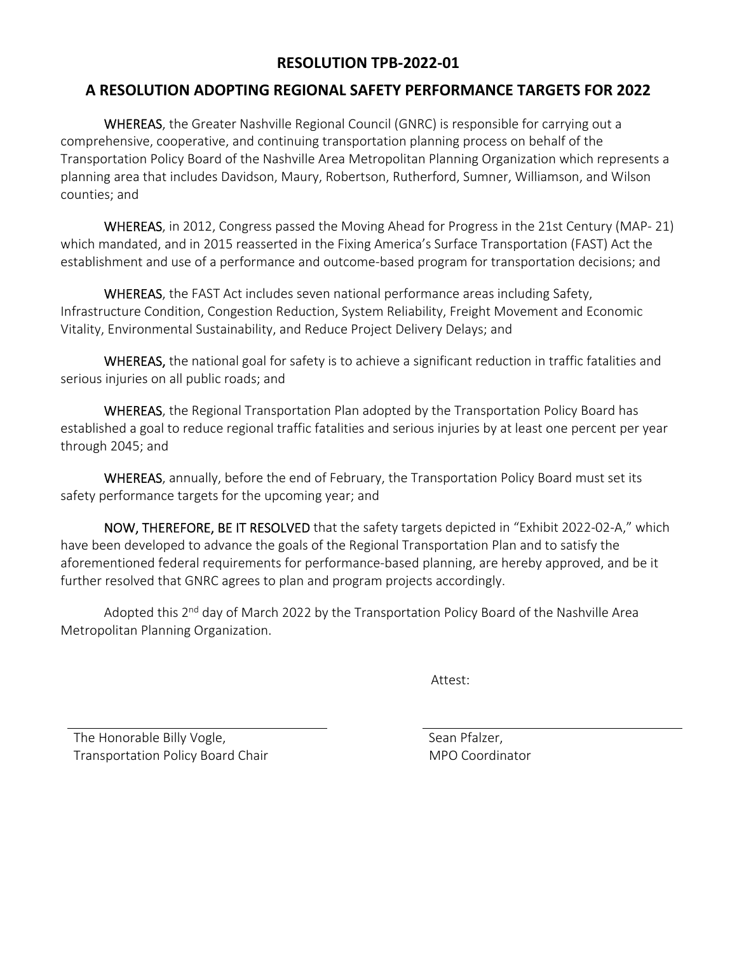# **RESOLUTION TPB‐2022‐01**

# **A RESOLUTION ADOPTING REGIONAL SAFETY PERFORMANCE TARGETS FOR 2022**

WHEREAS, the Greater Nashville Regional Council (GNRC) is responsible for carrying out a comprehensive, cooperative, and continuing transportation planning process on behalf of the Transportation Policy Board of the Nashville Area Metropolitan Planning Organization which represents a planning area that includes Davidson, Maury, Robertson, Rutherford, Sumner, Williamson, and Wilson counties; and

WHEREAS, in 2012, Congress passed the Moving Ahead for Progress in the 21st Century (MAP‐ 21) which mandated, and in 2015 reasserted in the Fixing America's Surface Transportation (FAST) Act the establishment and use of a performance and outcome‐based program for transportation decisions; and

WHEREAS, the FAST Act includes seven national performance areas including Safety, Infrastructure Condition, Congestion Reduction, System Reliability, Freight Movement and Economic Vitality, Environmental Sustainability, and Reduce Project Delivery Delays; and

WHEREAS, the national goal for safety is to achieve a significant reduction in traffic fatalities and serious injuries on all public roads; and

WHEREAS, the Regional Transportation Plan adopted by the Transportation Policy Board has established a goal to reduce regional traffic fatalities and serious injuries by at least one percent per year through 2045; and

WHEREAS, annually, before the end of February, the Transportation Policy Board must set its safety performance targets for the upcoming year; and

NOW, THEREFORE, BE IT RESOLVED that the safety targets depicted in "Exhibit 2022-02-A," which have been developed to advance the goals of the Regional Transportation Plan and to satisfy the aforementioned federal requirements for performance‐based planning, are hereby approved, and be it further resolved that GNRC agrees to plan and program projects accordingly.

Adopted this 2<sup>nd</sup> day of March 2022 by the Transportation Policy Board of the Nashville Area Metropolitan Planning Organization.

Attest:

The Honorable Billy Vogle, Transportation Policy Board Chair  Sean Pfalzer, MPO Coordinator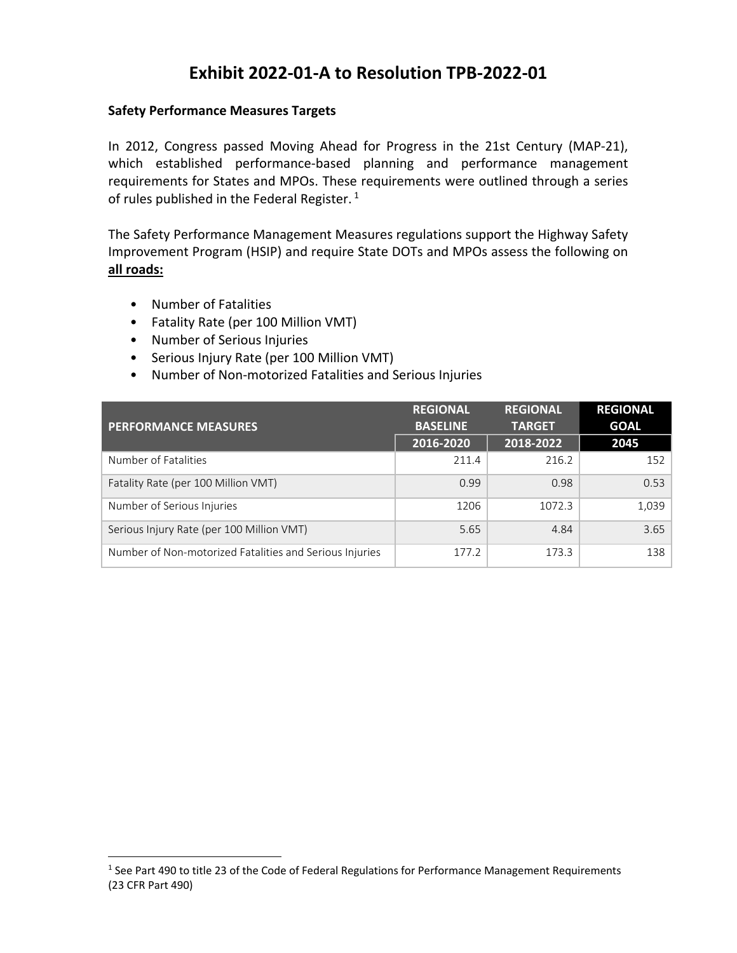# **Exhibit 2022‐01‐A to Resolution TPB‐2022‐01**

#### **Safety Performance Measures Targets**

In 2012, Congress passed Moving Ahead for Progress in the 21st Century (MAP‐21), which established performance-based planning and performance management requirements for States and MPOs. These requirements were outlined through a series of rules published in the Federal Register.<sup>1</sup>

The Safety Performance Management Measures regulations support the Highway Safety Improvement Program (HSIP) and require State DOTs and MPOs assess the following on **all roads:**

- Number of Fatalities
- Fatality Rate (per 100 Million VMT)
- Number of Serious Injuries
- Serious Injury Rate (per 100 Million VMT)
- Number of Non‐motorized Fatalities and Serious Injuries

| <b>PERFORMANCE MEASURES</b>                             | <b>REGIONAL</b><br><b>BASELINE</b> | <b>REGIONAL</b><br><b>TARGET</b> | <b>REGIONAL</b><br><b>GOAL</b> |
|---------------------------------------------------------|------------------------------------|----------------------------------|--------------------------------|
|                                                         | 2016-2020                          | 2018-2022                        | 2045                           |
| Number of Fatalities                                    | 211.4                              | 216.2                            | 152                            |
| Fatality Rate (per 100 Million VMT)                     | 0.99                               | 0.98                             | 0.53                           |
| Number of Serious Injuries                              | 1206                               | 1072.3                           | 1,039                          |
| Serious Injury Rate (per 100 Million VMT)               | 5.65                               | 4.84                             | 3.65                           |
| Number of Non-motorized Fatalities and Serious Injuries | 177.2                              | 173.3                            | 138                            |

<sup>&</sup>lt;sup>1</sup> See Part 490 to title 23 of the Code of Federal Regulations for Performance Management Requirements (23 CFR Part 490)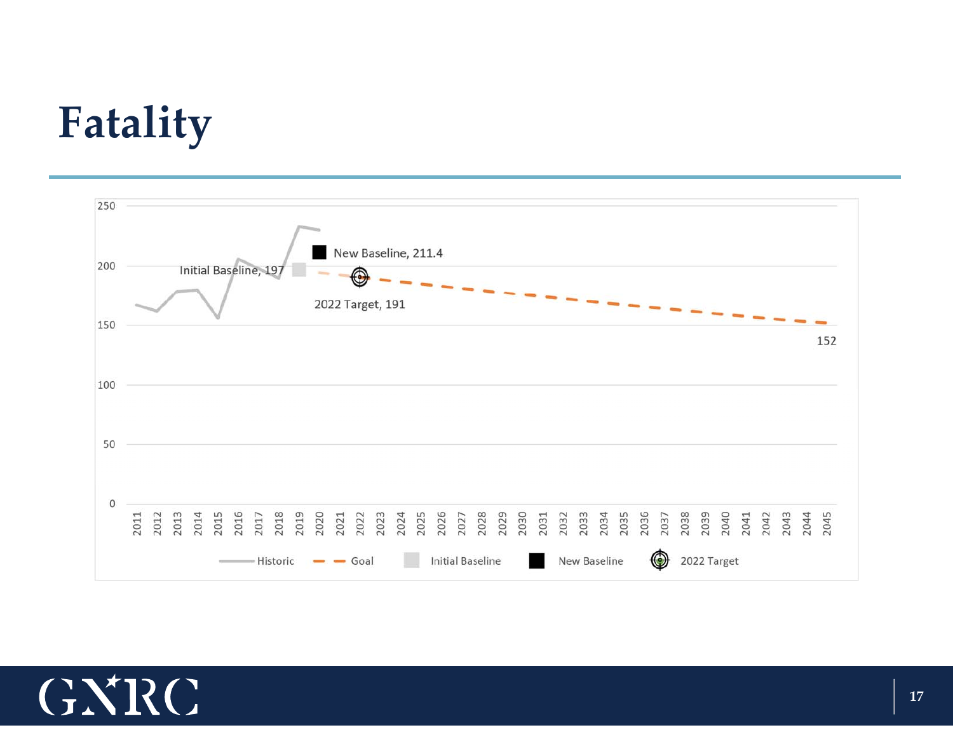# **Fatality**



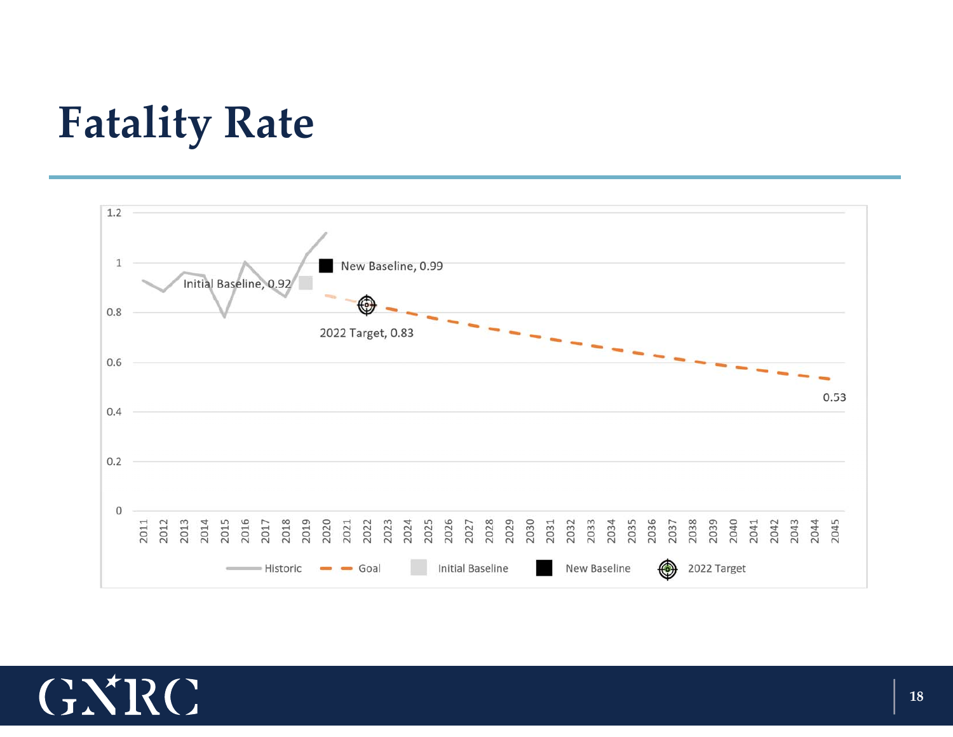# **Fatality Rate**



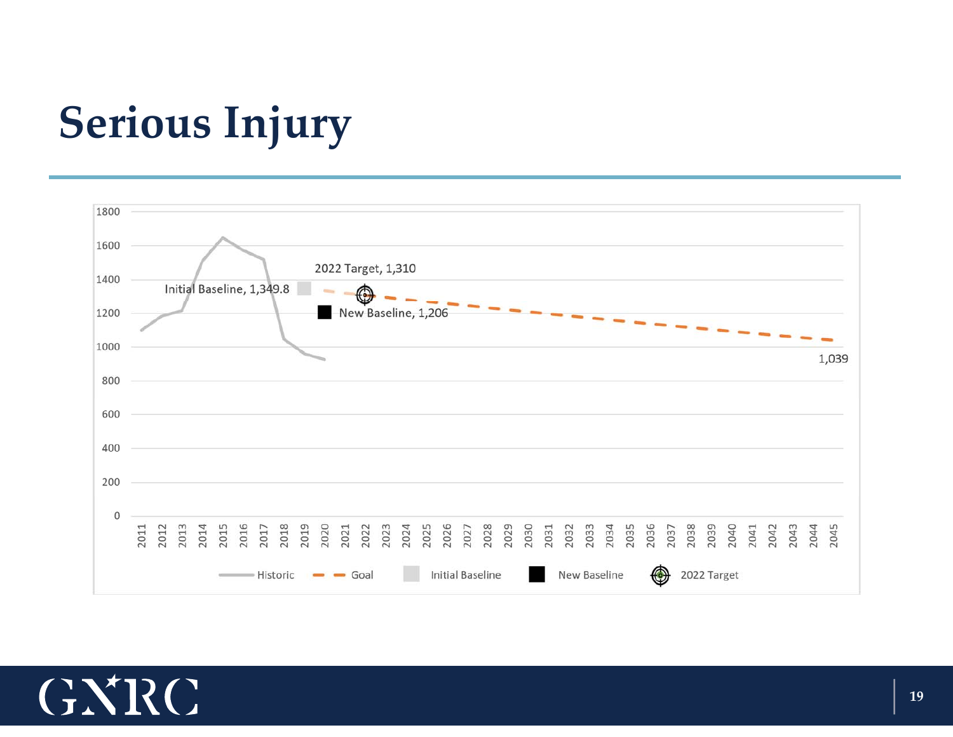# **Serious Injury**



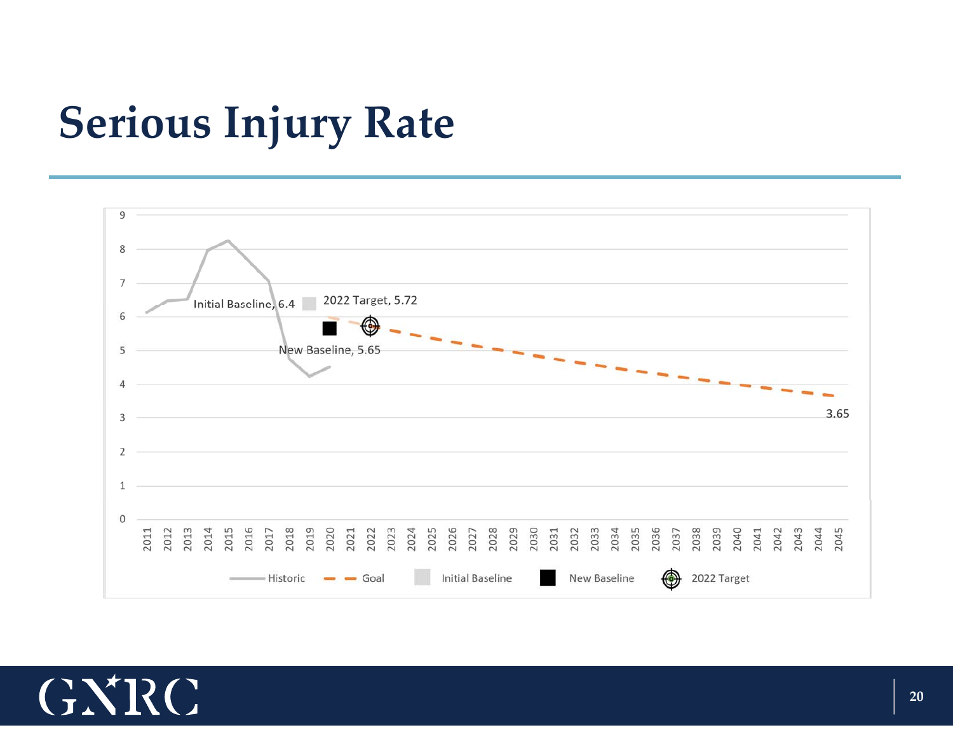# **Serious Injury Rate**



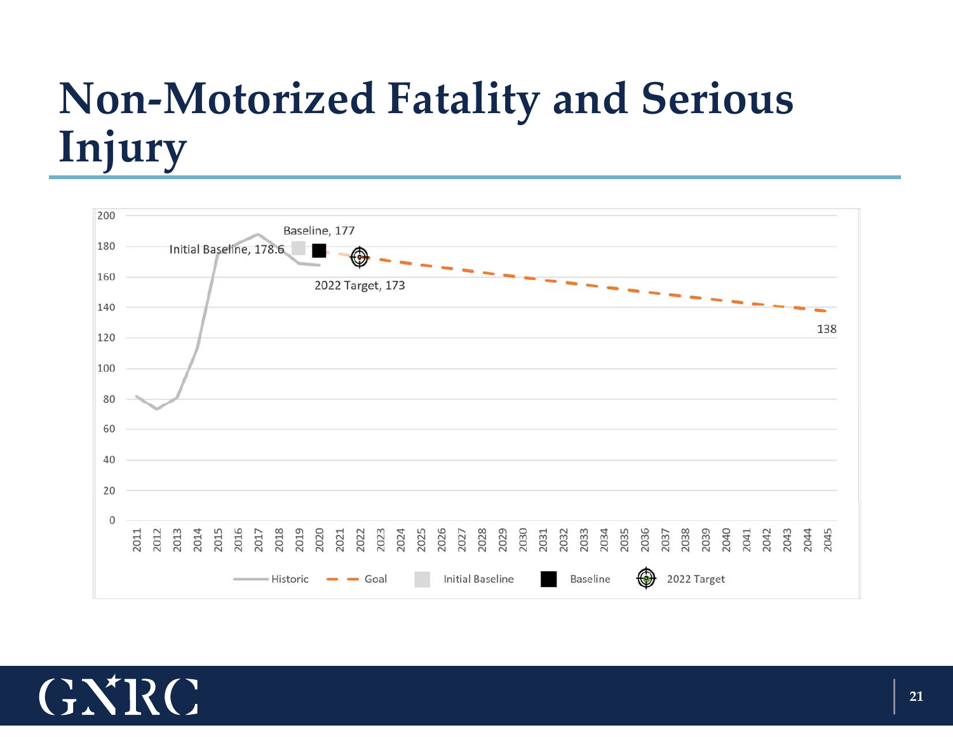# **Non‐Motorized Fatality and Serious Injury**



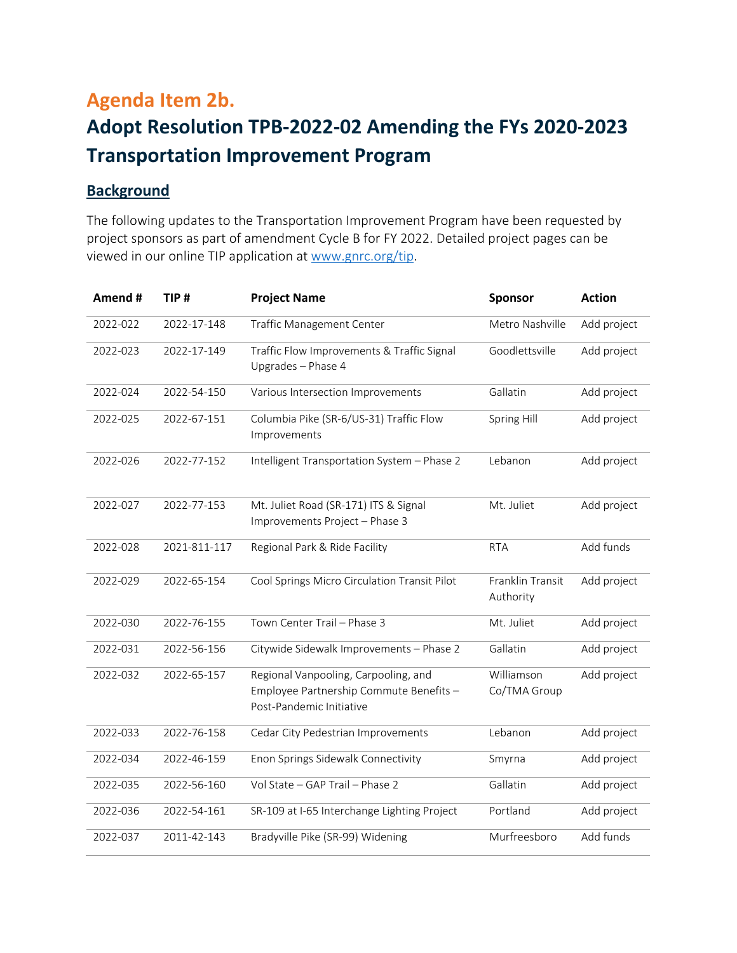# <span id="page-9-0"></span>**Agenda Item 2b. Adopt Resolution TPB‐2022‐02 Amending the FYs 2020‐2023 Transportation Improvement Program**

# **Background**

The following updates to the Transportation Improvement Program have been requested by project sponsors as part of amendment Cycle B for FY 2022. Detailed project pages can be viewed in our online TIP application at www.gnrc.org/tip.

| Amend #  | TIP#         | <b>Project Name</b>                                                                                         | Sponsor                       | <b>Action</b> |
|----------|--------------|-------------------------------------------------------------------------------------------------------------|-------------------------------|---------------|
| 2022-022 | 2022-17-148  | <b>Traffic Management Center</b>                                                                            | Metro Nashville               | Add project   |
| 2022-023 | 2022-17-149  | Traffic Flow Improvements & Traffic Signal<br>Upgrades - Phase 4                                            | Goodlettsville                | Add project   |
| 2022-024 | 2022-54-150  | Various Intersection Improvements                                                                           | Gallatin                      | Add project   |
| 2022-025 | 2022-67-151  | Columbia Pike (SR-6/US-31) Traffic Flow<br>Improvements                                                     | Spring Hill                   | Add project   |
| 2022-026 | 2022-77-152  | Intelligent Transportation System - Phase 2                                                                 | Lebanon                       | Add project   |
| 2022-027 | 2022-77-153  | Mt. Juliet Road (SR-171) ITS & Signal<br>Improvements Project - Phase 3                                     | Mt. Juliet                    | Add project   |
| 2022-028 | 2021-811-117 | Regional Park & Ride Facility                                                                               | <b>RTA</b>                    | Add funds     |
| 2022-029 | 2022-65-154  | Cool Springs Micro Circulation Transit Pilot                                                                | Franklin Transit<br>Authority | Add project   |
| 2022-030 | 2022-76-155  | Town Center Trail - Phase 3                                                                                 | Mt. Juliet                    | Add project   |
| 2022-031 | 2022-56-156  | Citywide Sidewalk Improvements - Phase 2                                                                    | Gallatin                      | Add project   |
| 2022-032 | 2022-65-157  | Regional Vanpooling, Carpooling, and<br>Employee Partnership Commute Benefits -<br>Post-Pandemic Initiative | Williamson<br>Co/TMA Group    | Add project   |
| 2022-033 | 2022-76-158  | Cedar City Pedestrian Improvements                                                                          | Lebanon                       | Add project   |
| 2022-034 | 2022-46-159  | Enon Springs Sidewalk Connectivity                                                                          | Smyrna                        | Add project   |
| 2022-035 | 2022-56-160  | Vol State - GAP Trail - Phase 2                                                                             | Gallatin                      | Add project   |
| 2022-036 | 2022-54-161  | SR-109 at I-65 Interchange Lighting Project                                                                 | Portland                      | Add project   |
| 2022-037 | 2011-42-143  | Bradyville Pike (SR-99) Widening                                                                            | Murfreesboro                  | Add funds     |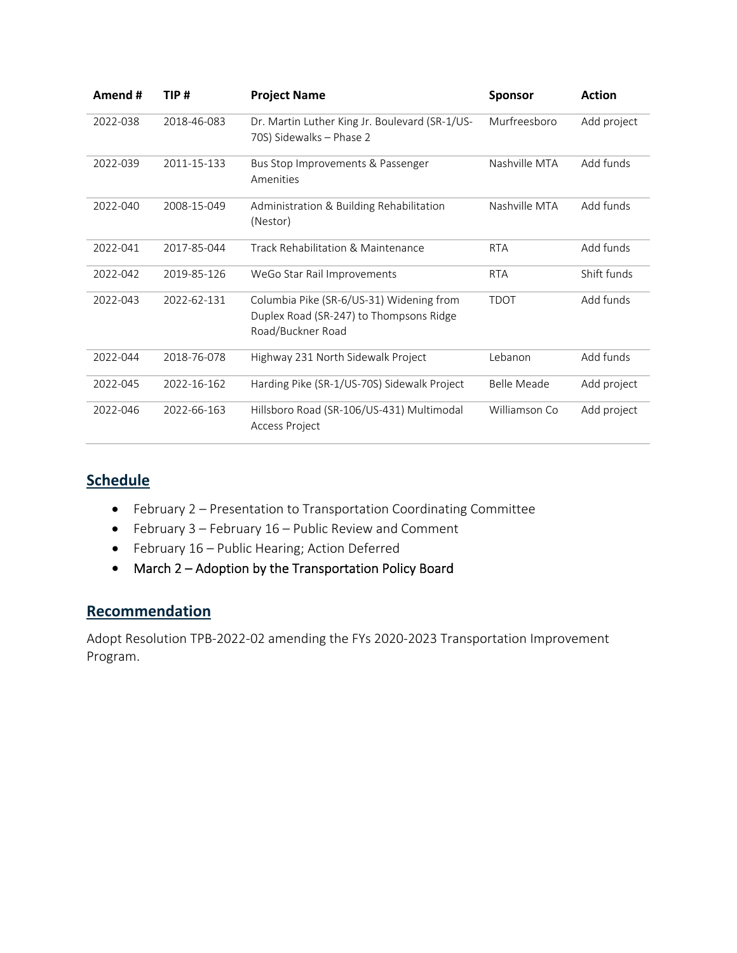| Amend #  | TIP #       | <b>Project Name</b>                                                                                      | <b>Sponsor</b>     | <b>Action</b> |
|----------|-------------|----------------------------------------------------------------------------------------------------------|--------------------|---------------|
| 2022-038 | 2018-46-083 | Dr. Martin Luther King Jr. Boulevard (SR-1/US-<br>70S) Sidewalks - Phase 2                               | Murfreesboro       | Add project   |
| 2022-039 | 2011-15-133 | Bus Stop Improvements & Passenger<br>Amenities                                                           | Nashville MTA      | Add funds     |
| 2022-040 | 2008-15-049 | Administration & Building Rehabilitation<br>(Nestor)                                                     | Nashville MTA      | Add funds     |
| 2022-041 | 2017-85-044 | Track Rehabilitation & Maintenance                                                                       | <b>RTA</b>         | Add funds     |
| 2022-042 | 2019-85-126 | WeGo Star Rail Improvements                                                                              | <b>RTA</b>         | Shift funds   |
| 2022-043 | 2022-62-131 | Columbia Pike (SR-6/US-31) Widening from<br>Duplex Road (SR-247) to Thompsons Ridge<br>Road/Buckner Road | <b>TDOT</b>        | Add funds     |
| 2022-044 | 2018-76-078 | Highway 231 North Sidewalk Project                                                                       | Lebanon            | Add funds     |
| 2022-045 | 2022-16-162 | Harding Pike (SR-1/US-70S) Sidewalk Project                                                              | <b>Belle Meade</b> | Add project   |
| 2022-046 | 2022-66-163 | Hillsboro Road (SR-106/US-431) Multimodal<br>Access Project                                              | Williamson Co      | Add project   |

# **Schedule**

- February 2 Presentation to Transportation Coordinating Committee
- February 3 February 16 Public Review and Comment
- February 16 Public Hearing; Action Deferred
- March 2 Adoption by the Transportation Policy Board

# **Recommendation**

Adopt Resolution TPB‐2022‐02 amending the FYs 2020‐2023 Transportation Improvement Program.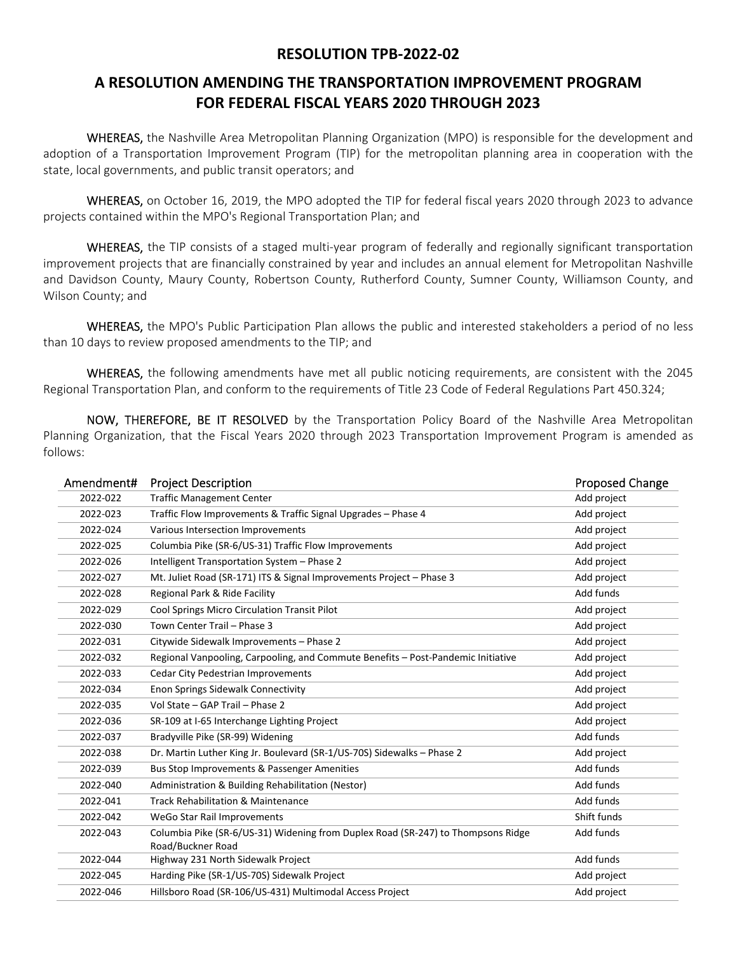### **RESOLUTION TPB‐2022‐02**

# **A RESOLUTION AMENDING THE TRANSPORTATION IMPROVEMENT PROGRAM FOR FEDERAL FISCAL YEARS 2020 THROUGH 2023**

WHEREAS, the Nashville Area Metropolitan Planning Organization (MPO) is responsible for the development and adoption of a Transportation Improvement Program (TIP) for the metropolitan planning area in cooperation with the state, local governments, and public transit operators; and

WHEREAS, on October 16, 2019, the MPO adopted the TIP for federal fiscal years 2020 through 2023 to advance projects contained within the MPO's Regional Transportation Plan; and

WHEREAS, the TIP consists of a staged multi-year program of federally and regionally significant transportation improvement projects that are financially constrained by year and includes an annual element for Metropolitan Nashville and Davidson County, Maury County, Robertson County, Rutherford County, Sumner County, Williamson County, and Wilson County; and

WHEREAS, the MPO's Public Participation Plan allows the public and interested stakeholders a period of no less than 10 days to review proposed amendments to the TIP; and

WHEREAS, the following amendments have met all public noticing requirements, are consistent with the 2045 Regional Transportation Plan, and conform to the requirements of Title 23 Code of Federal Regulations Part 450.324;

NOW, THEREFORE, BE IT RESOLVED by the Transportation Policy Board of the Nashville Area Metropolitan Planning Organization, that the Fiscal Years 2020 through 2023 Transportation Improvement Program is amended as follows:

| Amendment# | <b>Project Description</b>                                                                            | <b>Proposed Change</b> |
|------------|-------------------------------------------------------------------------------------------------------|------------------------|
| 2022-022   | <b>Traffic Management Center</b>                                                                      | Add project            |
| 2022-023   | Traffic Flow Improvements & Traffic Signal Upgrades - Phase 4                                         | Add project            |
| 2022-024   | Various Intersection Improvements                                                                     | Add project            |
| 2022-025   | Columbia Pike (SR-6/US-31) Traffic Flow Improvements                                                  | Add project            |
| 2022-026   | Intelligent Transportation System - Phase 2                                                           | Add project            |
| 2022-027   | Mt. Juliet Road (SR-171) ITS & Signal Improvements Project - Phase 3                                  | Add project            |
| 2022-028   | Regional Park & Ride Facility                                                                         | Add funds              |
| 2022-029   | Cool Springs Micro Circulation Transit Pilot                                                          | Add project            |
| 2022-030   | Town Center Trail - Phase 3                                                                           | Add project            |
| 2022-031   | Citywide Sidewalk Improvements - Phase 2                                                              | Add project            |
| 2022-032   | Regional Vanpooling, Carpooling, and Commute Benefits - Post-Pandemic Initiative                      | Add project            |
| 2022-033   | Cedar City Pedestrian Improvements                                                                    | Add project            |
| 2022-034   | Enon Springs Sidewalk Connectivity                                                                    | Add project            |
| 2022-035   | Vol State - GAP Trail - Phase 2                                                                       | Add project            |
| 2022-036   | SR-109 at I-65 Interchange Lighting Project                                                           | Add project            |
| 2022-037   | Bradyville Pike (SR-99) Widening                                                                      | Add funds              |
| 2022-038   | Dr. Martin Luther King Jr. Boulevard (SR-1/US-70S) Sidewalks - Phase 2                                | Add project            |
| 2022-039   | Bus Stop Improvements & Passenger Amenities                                                           | Add funds              |
| 2022-040   | Administration & Building Rehabilitation (Nestor)                                                     | Add funds              |
| 2022-041   | <b>Track Rehabilitation &amp; Maintenance</b>                                                         | Add funds              |
| 2022-042   | WeGo Star Rail Improvements                                                                           | Shift funds            |
| 2022-043   | Columbia Pike (SR-6/US-31) Widening from Duplex Road (SR-247) to Thompsons Ridge<br>Road/Buckner Road | Add funds              |
| 2022-044   | Highway 231 North Sidewalk Project                                                                    | Add funds              |
| 2022-045   | Harding Pike (SR-1/US-70S) Sidewalk Project                                                           | Add project            |
| 2022-046   | Hillsboro Road (SR-106/US-431) Multimodal Access Project                                              | Add project            |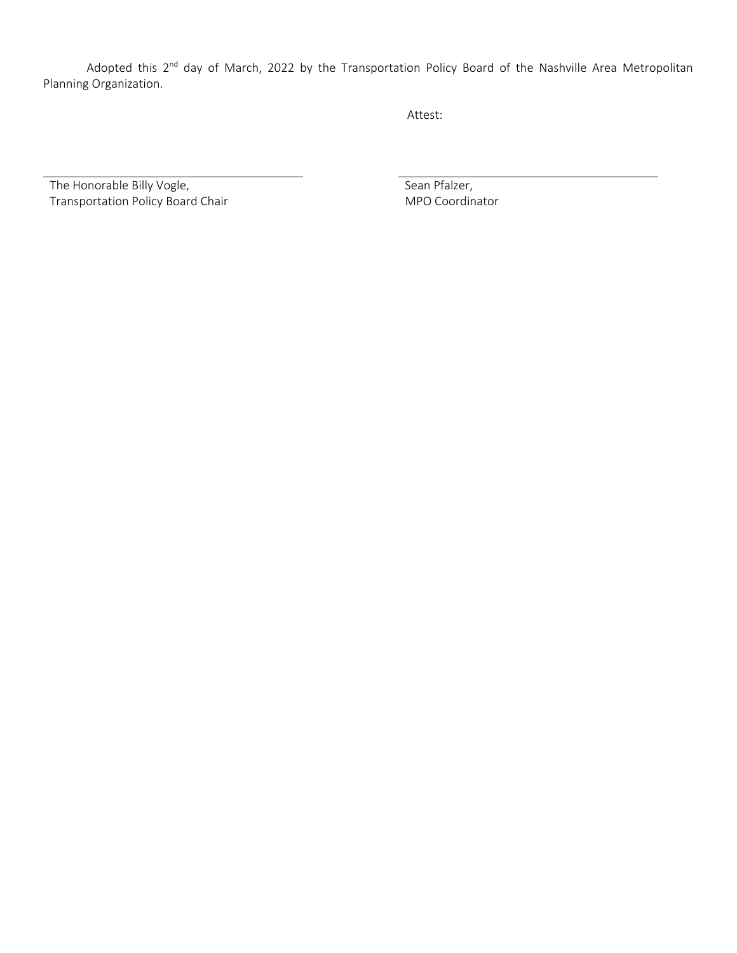Adopted this 2<sup>nd</sup> day of March, 2022 by the Transportation Policy Board of the Nashville Area Metropolitan Planning Organization.

Attest:

The Honorable Billy Vogle, Transportation Policy Board Chair  Sean Pfalzer, MPO Coordinator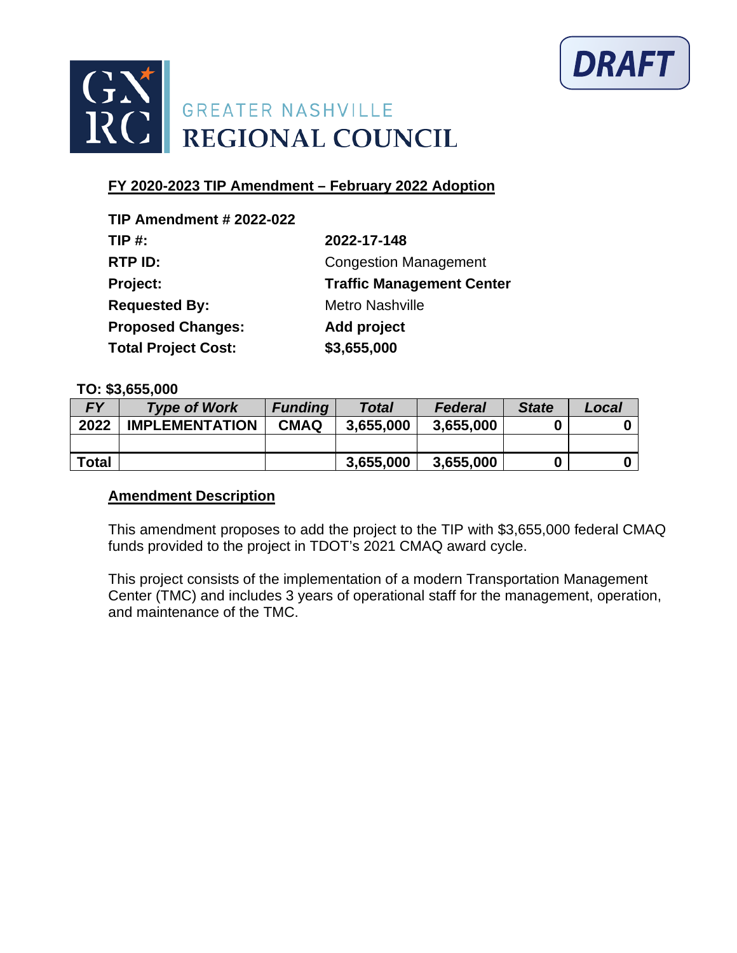



| <b>TIP Amendment # 2022-022</b> |                                  |
|---------------------------------|----------------------------------|
| TIP $#$ :                       | 2022-17-148                      |
| RTP ID:                         | <b>Congestion Management</b>     |
| Project:                        | <b>Traffic Management Center</b> |
| <b>Requested By:</b>            | <b>Metro Nashville</b>           |
| <b>Proposed Changes:</b>        | Add project                      |
| <b>Total Project Cost:</b>      | \$3,655,000                      |

#### **TO: \$3,655,000**

| <b>FY</b>    | <b>Type of Work</b>   | <b>Funding</b> | Total     | <b>Federal</b> | <b>State</b> | Local |
|--------------|-----------------------|----------------|-----------|----------------|--------------|-------|
| 2022         | <b>IMPLEMENTATION</b> | <b>CMAQ</b>    | 3.655.000 | 3,655,000      |              |       |
|              |                       |                |           |                |              |       |
| <b>Total</b> |                       |                | 3.655.000 | 3,655,000      |              |       |

### **Amendment Description**

This amendment proposes to add the project to the TIP with \$3,655,000 federal CMAQ funds provided to the project in TDOT's 2021 CMAQ award cycle.

This project consists of the implementation of a modern Transportation Management Center (TMC) and includes 3 years of operational staff for the management, operation, and maintenance of the TMC.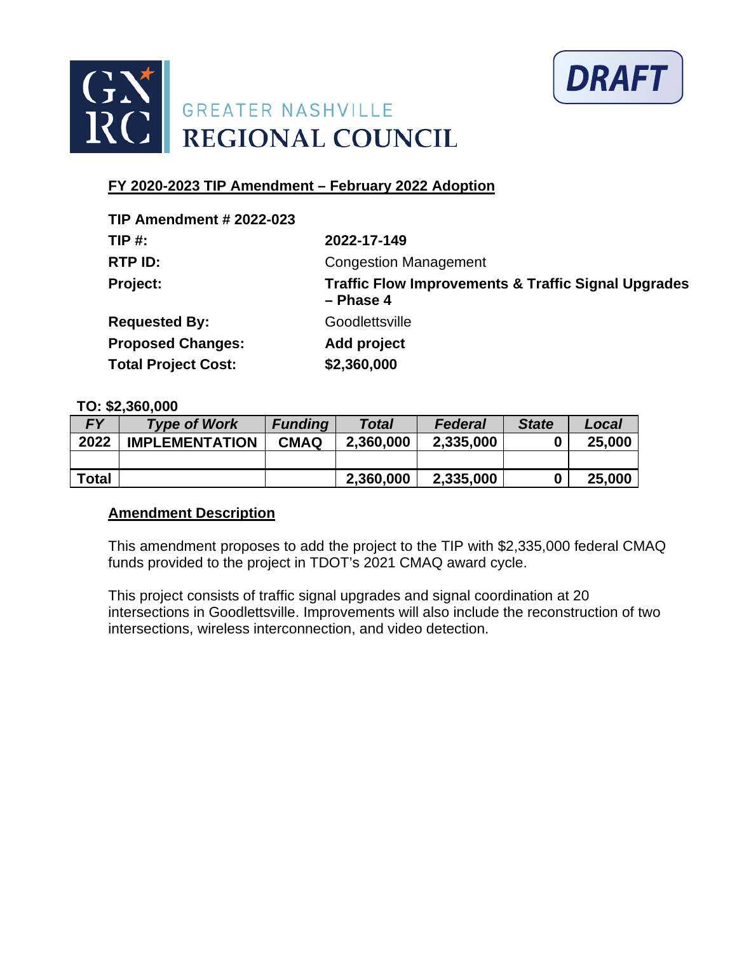



| <b>TIP Amendment # 2022-023</b> |                                                                               |
|---------------------------------|-------------------------------------------------------------------------------|
| $TIP#$ :                        | 2022-17-149                                                                   |
| RTP ID:                         | <b>Congestion Management</b>                                                  |
| Project:                        | <b>Traffic Flow Improvements &amp; Traffic Signal Upgrades</b><br>$-$ Phase 4 |
| <b>Requested By:</b>            | Goodlettsville                                                                |
| <b>Proposed Changes:</b>        | Add project                                                                   |
| <b>Total Project Cost:</b>      | \$2,360,000                                                                   |

#### **TO: \$2,360,000**

| <b>FY</b>    | <b>Type of Work</b>   | <b>Funding</b> | <b>Total</b> | Federal   | <b>State</b> | Local  |
|--------------|-----------------------|----------------|--------------|-----------|--------------|--------|
| 2022         | <b>IMPLEMENTATION</b> | <b>CMAQ</b>    | 2,360,000    | 2,335,000 | 0            | 25,000 |
|              |                       |                |              |           |              |        |
| <b>Total</b> |                       |                | 2,360,000    | 2,335,000 | 0            | 25,000 |

### **Amendment Description**

This amendment proposes to add the project to the TIP with \$2,335,000 federal CMAQ funds provided to the project in TDOT's 2021 CMAQ award cycle.

This project consists of traffic signal upgrades and signal coordination at 20 intersections in Goodlettsville. Improvements will also include the reconstruction of two intersections, wireless interconnection, and video detection.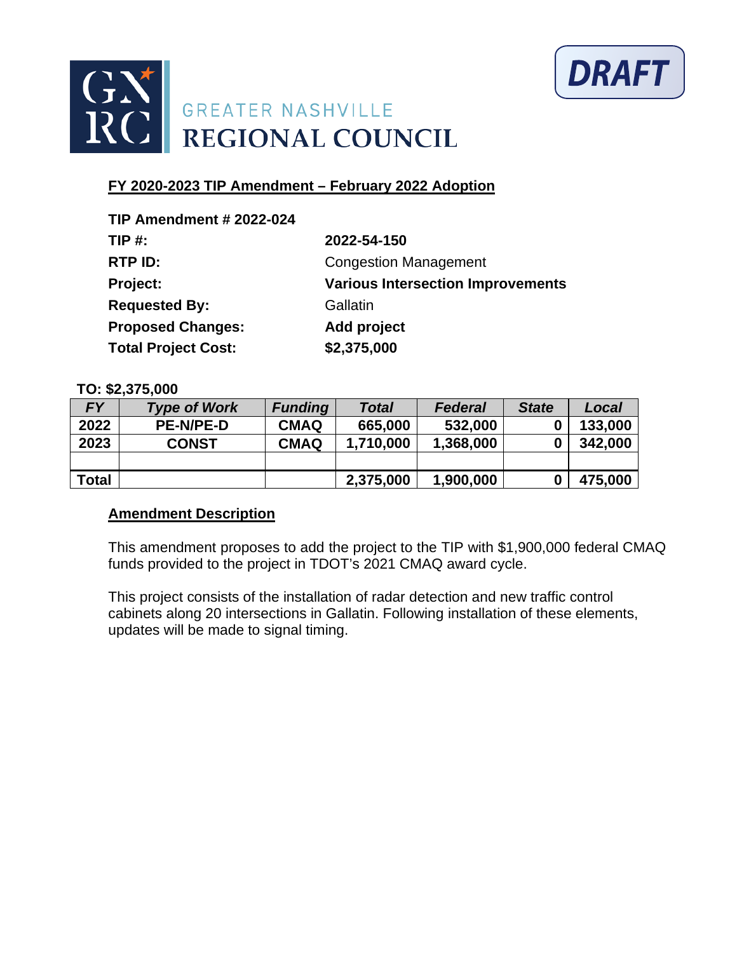



| <b>TIP Amendment # 2022-024</b> |                                          |
|---------------------------------|------------------------------------------|
| $TIP#$ :                        | 2022-54-150                              |
| RTP ID:                         | <b>Congestion Management</b>             |
| Project:                        | <b>Various Intersection Improvements</b> |
| <b>Requested By:</b>            | Gallatin                                 |
| <b>Proposed Changes:</b>        | Add project                              |
| <b>Total Project Cost:</b>      | \$2,375,000                              |

### **TO: \$2,375,000**

| FΥ           | <b>Type of Work</b> | <b>Funding</b> | <b>Total</b> | <b>Federal</b> | <b>State</b> | Local   |
|--------------|---------------------|----------------|--------------|----------------|--------------|---------|
| 2022         | <b>PE-N/PE-D</b>    | <b>CMAQ</b>    | 665,000      | 532,000        |              | 133,000 |
| 2023         | <b>CONST</b>        | <b>CMAQ</b>    | 1,710,000    | 1,368,000      |              | 342,000 |
|              |                     |                |              |                |              |         |
| <b>Total</b> |                     |                | 2,375,000    | 1,900,000      |              | 475,000 |

# **Amendment Description**

This amendment proposes to add the project to the TIP with \$1,900,000 federal CMAQ funds provided to the project in TDOT's 2021 CMAQ award cycle.

This project consists of the installation of radar detection and new traffic control cabinets along 20 intersections in Gallatin. Following installation of these elements, updates will be made to signal timing.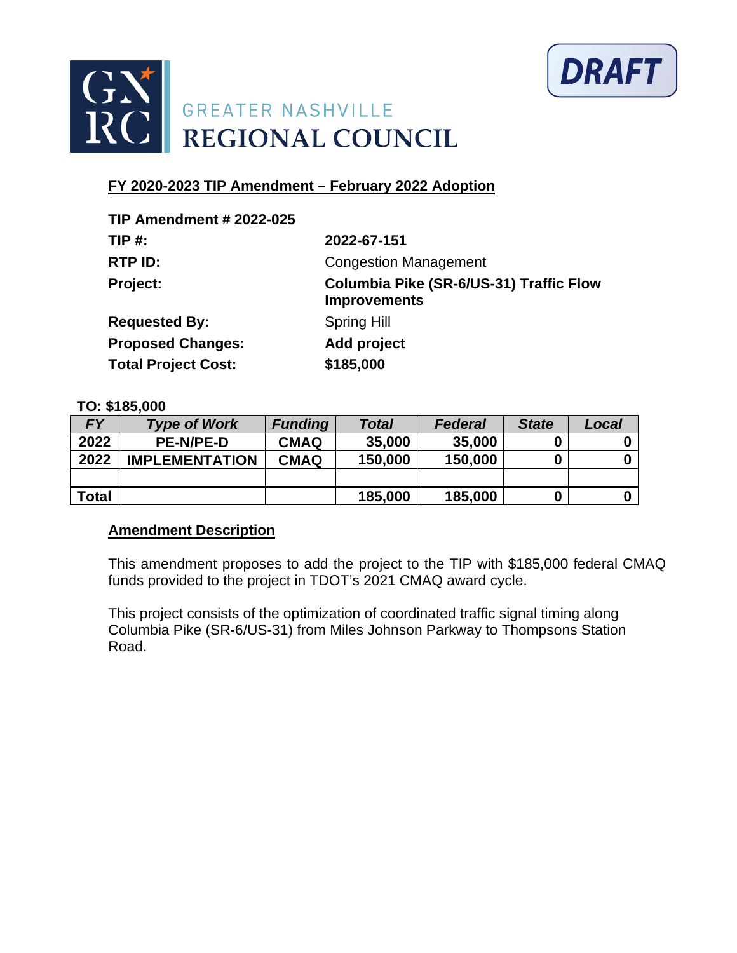



| <b>TIP Amendment # 2022-025</b> |                                                                       |
|---------------------------------|-----------------------------------------------------------------------|
| <b>TIP #:</b>                   | 2022-67-151                                                           |
| RTP ID:                         | <b>Congestion Management</b>                                          |
| Project:                        | <b>Columbia Pike (SR-6/US-31) Traffic Flow</b><br><b>Improvements</b> |
| <b>Requested By:</b>            | <b>Spring Hill</b>                                                    |
| <b>Proposed Changes:</b>        | Add project                                                           |
| <b>Total Project Cost:</b>      | \$185,000                                                             |

#### **TO: \$185,000**

| <b>FY</b>    | <b>Type of Work</b>   | <b>Funding</b> | <b>Total</b> | <b>Federal</b> | <b>State</b> | Local |
|--------------|-----------------------|----------------|--------------|----------------|--------------|-------|
| 2022         | <b>PE-N/PE-D</b>      | <b>CMAQ</b>    | 35,000       | 35,000         |              |       |
| 2022         | <b>IMPLEMENTATION</b> | <b>CMAQ</b>    | 150,000      | 150,000        | 0            |       |
|              |                       |                |              |                |              |       |
| <b>Total</b> |                       |                | 185,000      | 185,000        | 0            |       |

# **Amendment Description**

This amendment proposes to add the project to the TIP with \$185,000 federal CMAQ funds provided to the project in TDOT's 2021 CMAQ award cycle.

This project consists of the optimization of coordinated traffic signal timing along Columbia Pike (SR-6/US-31) from Miles Johnson Parkway to Thompsons Station Road.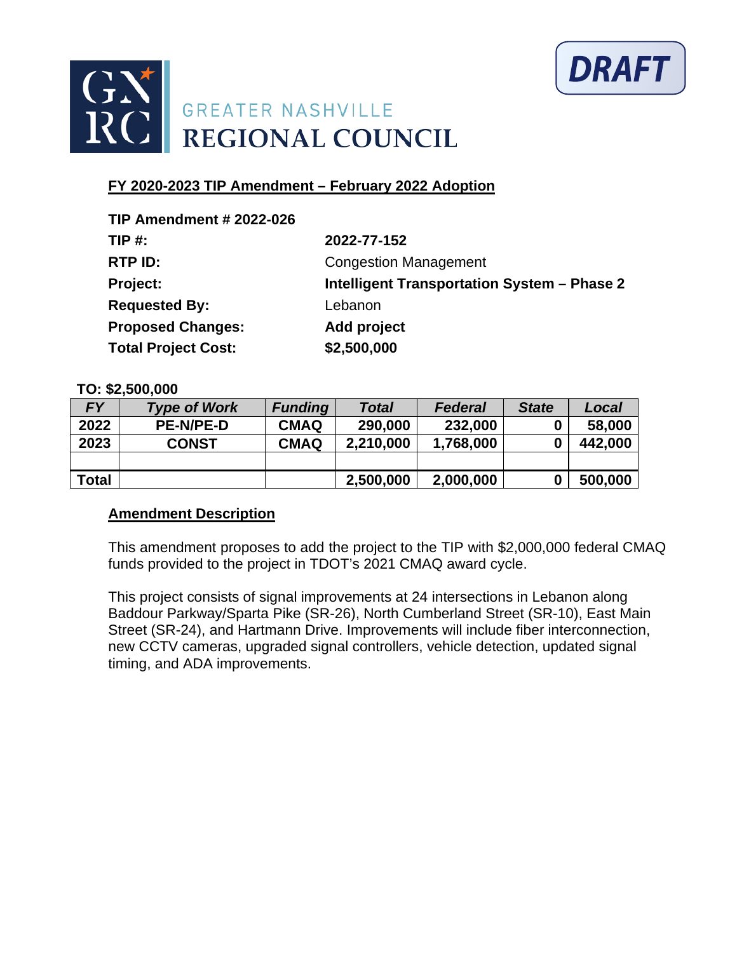



| <b>TIP Amendment # 2022-026</b> |                                             |
|---------------------------------|---------------------------------------------|
| $TIP#$ :                        | 2022-77-152                                 |
| RTP ID:                         | <b>Congestion Management</b>                |
| Project:                        | Intelligent Transportation System - Phase 2 |
| <b>Requested By:</b>            | Lebanon                                     |
| <b>Proposed Changes:</b>        | Add project                                 |
| <b>Total Project Cost:</b>      | \$2,500,000                                 |

### **TO: \$2,500,000**

| FΥ           | <b>Type of Work</b> | <b>Funding</b> | <b>Total</b> | <b>Federal</b> | <b>State</b> | Local   |
|--------------|---------------------|----------------|--------------|----------------|--------------|---------|
| 2022         | <b>PE-N/PE-D</b>    | <b>CMAQ</b>    | 290,000      | 232,000        |              | 58,000  |
| 2023         | <b>CONST</b>        | <b>CMAQ</b>    | 2,210,000    | 1,768,000      |              | 442,000 |
|              |                     |                |              |                |              |         |
| <b>Total</b> |                     |                | 2,500,000    | 2,000,000      |              | 500,000 |

# **Amendment Description**

This amendment proposes to add the project to the TIP with \$2,000,000 federal CMAQ funds provided to the project in TDOT's 2021 CMAQ award cycle.

This project consists of signal improvements at 24 intersections in Lebanon along Baddour Parkway/Sparta Pike (SR-26), North Cumberland Street (SR-10), East Main Street (SR-24), and Hartmann Drive. Improvements will include fiber interconnection, new CCTV cameras, upgraded signal controllers, vehicle detection, updated signal timing, and ADA improvements.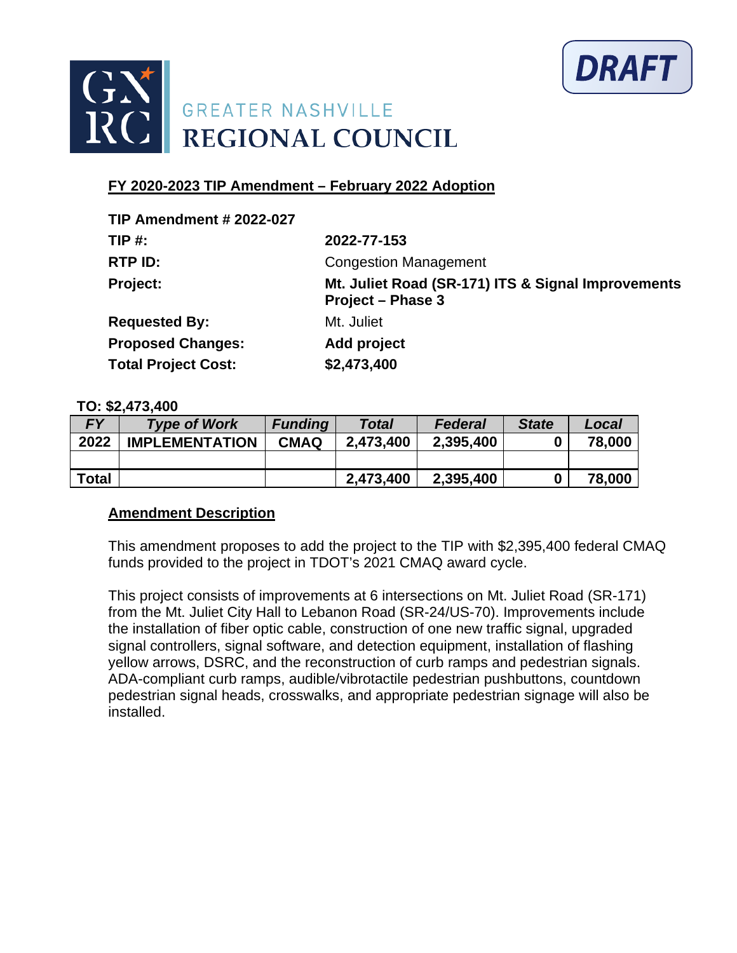



| <b>TIP Amendment # 2022-027</b> |                                                                                |
|---------------------------------|--------------------------------------------------------------------------------|
| $TIP#$ :                        | 2022-77-153                                                                    |
| RTP ID:                         | <b>Congestion Management</b>                                                   |
| Project:                        | Mt. Juliet Road (SR-171) ITS & Signal Improvements<br><b>Project - Phase 3</b> |
| <b>Requested By:</b>            | Mt. Juliet                                                                     |
| <b>Proposed Changes:</b>        | Add project                                                                    |
| <b>Total Project Cost:</b>      | \$2,473,400                                                                    |

#### **TO: \$2,473,400**

| <b>FY</b>    | <b>Type of Work</b>   | <b>Funding</b> | Total     | Federal   | <b>State</b> | Local  |
|--------------|-----------------------|----------------|-----------|-----------|--------------|--------|
| 2022         | <b>IMPLEMENTATION</b> | <b>CMAQ</b>    | 2,473,400 | 2,395,400 | 0            | 78,000 |
|              |                       |                |           |           |              |        |
| <b>Total</b> |                       |                | 2,473,400 | 2,395,400 | 0            | 78,000 |

# **Amendment Description**

This amendment proposes to add the project to the TIP with \$2,395,400 federal CMAQ funds provided to the project in TDOT's 2021 CMAQ award cycle.

This project consists of improvements at 6 intersections on Mt. Juliet Road (SR-171) from the Mt. Juliet City Hall to Lebanon Road (SR-24/US-70). Improvements include the installation of fiber optic cable, construction of one new traffic signal, upgraded signal controllers, signal software, and detection equipment, installation of flashing yellow arrows, DSRC, and the reconstruction of curb ramps and pedestrian signals. ADA-compliant curb ramps, audible/vibrotactile pedestrian pushbuttons, countdown pedestrian signal heads, crosswalks, and appropriate pedestrian signage will also be installed.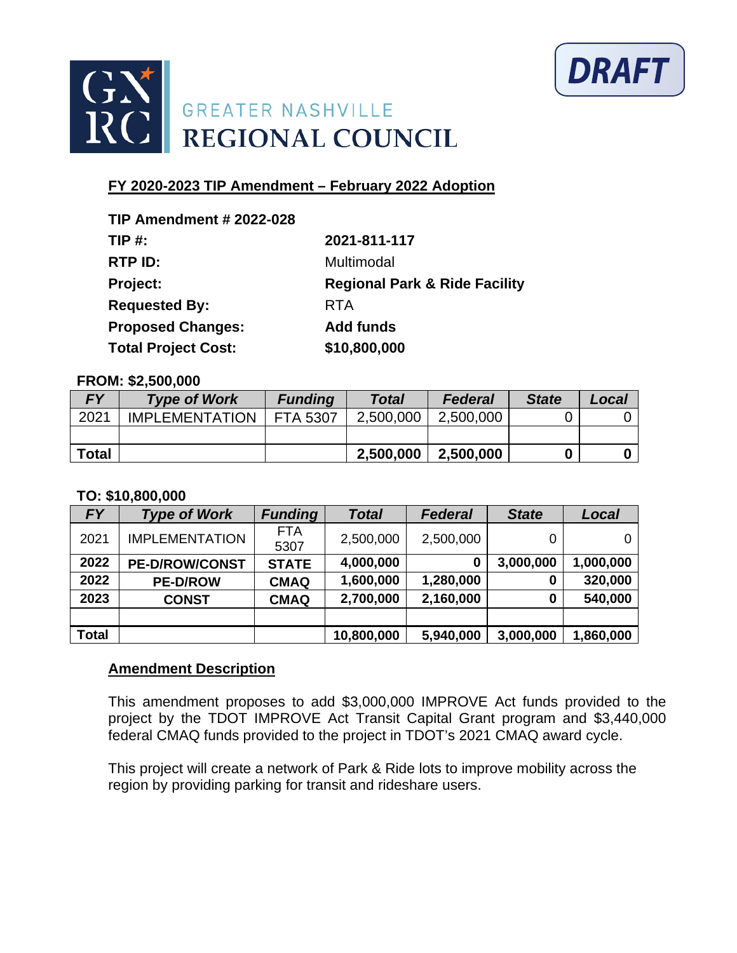



| 2021-811-117                             |
|------------------------------------------|
| Multimodal                               |
| <b>Regional Park &amp; Ride Facility</b> |
| <b>RTA</b>                               |
| <b>Add funds</b>                         |
| \$10,800,000                             |
|                                          |

#### **FROM: \$2,500,000**

| <b>FY</b>    | <b>Type of Work</b>   | <b>Funding</b>  | <b>Total</b> | <b>Federal</b> | <b>State</b> | Local |
|--------------|-----------------------|-----------------|--------------|----------------|--------------|-------|
| 2021         | <b>IMPLEMENTATION</b> | <b>FTA 5307</b> | 2,500,000    | 2,500,000      |              |       |
|              |                       |                 |              |                |              |       |
| <b>Total</b> |                       |                 | 2,500,000    | 2,500,000      |              |       |

#### **TO: \$10,800,000**

| <b>FY</b>    | <b>Type of Work</b>   | <b>Funding</b>     | <b>Total</b> | <b>Federal</b> | <b>State</b> | Local     |
|--------------|-----------------------|--------------------|--------------|----------------|--------------|-----------|
| 2021         | <b>IMPLEMENTATION</b> | <b>FTA</b><br>5307 | 2,500,000    | 2,500,000      |              | 0         |
| 2022         | <b>PE-D/ROW/CONST</b> | <b>STATE</b>       | 4,000,000    | 0              | 3,000,000    | 1,000,000 |
| 2022         | <b>PE-D/ROW</b>       | <b>CMAQ</b>        | 1,600,000    | 1,280,000      | 0            | 320,000   |
| 2023         | <b>CONST</b>          | <b>CMAQ</b>        | 2,700,000    | 2,160,000      | 0            | 540,000   |
|              |                       |                    |              |                |              |           |
| <b>Total</b> |                       |                    | 10,800,000   | 5,940,000      | 3,000,000    | 1,860,000 |

### **Amendment Description**

This amendment proposes to add \$3,000,000 IMPROVE Act funds provided to the project by the TDOT IMPROVE Act Transit Capital Grant program and \$3,440,000 federal CMAQ funds provided to the project in TDOT's 2021 CMAQ award cycle.

This project will create a network of Park & Ride lots to improve mobility across the region by providing parking for transit and rideshare users.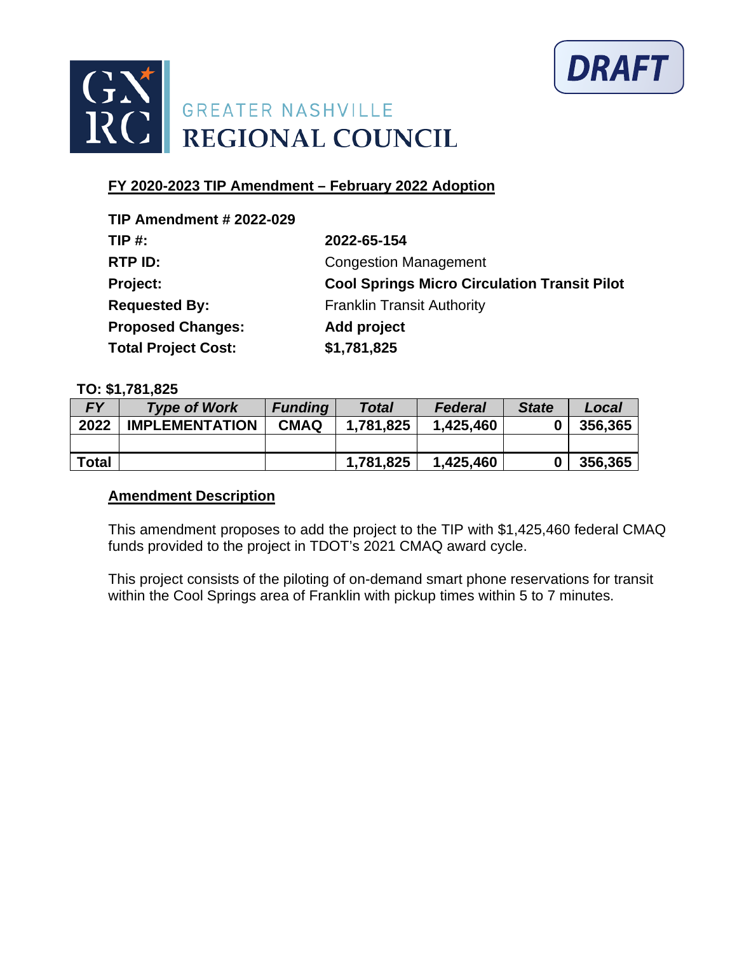



| <b>TIP Amendment # 2022-029</b> |                                                     |
|---------------------------------|-----------------------------------------------------|
| $TIP#$ :                        | 2022-65-154                                         |
| RTP ID:                         | <b>Congestion Management</b>                        |
| Project:                        | <b>Cool Springs Micro Circulation Transit Pilot</b> |
| <b>Requested By:</b>            | <b>Franklin Transit Authority</b>                   |
| <b>Proposed Changes:</b>        | Add project                                         |
| <b>Total Project Cost:</b>      | \$1,781,825                                         |

### **TO: \$1,781,825**

| <b>FY</b>    | <b>Type of Work</b>   | <b>Funding</b> | <b>Total</b> | <b>Federal</b> | <b>State</b> | Local   |
|--------------|-----------------------|----------------|--------------|----------------|--------------|---------|
| 2022         | <b>IMPLEMENTATION</b> | <b>CMAQ</b>    | 1.781.825    | 1,425,460      |              | 356,365 |
|              |                       |                |              |                |              |         |
| <b>Total</b> |                       |                | 1,781,825    | 1,425,460      |              | 356,365 |

# **Amendment Description**

This amendment proposes to add the project to the TIP with \$1,425,460 federal CMAQ funds provided to the project in TDOT's 2021 CMAQ award cycle.

This project consists of the piloting of on-demand smart phone reservations for transit within the Cool Springs area of Franklin with pickup times within 5 to 7 minutes.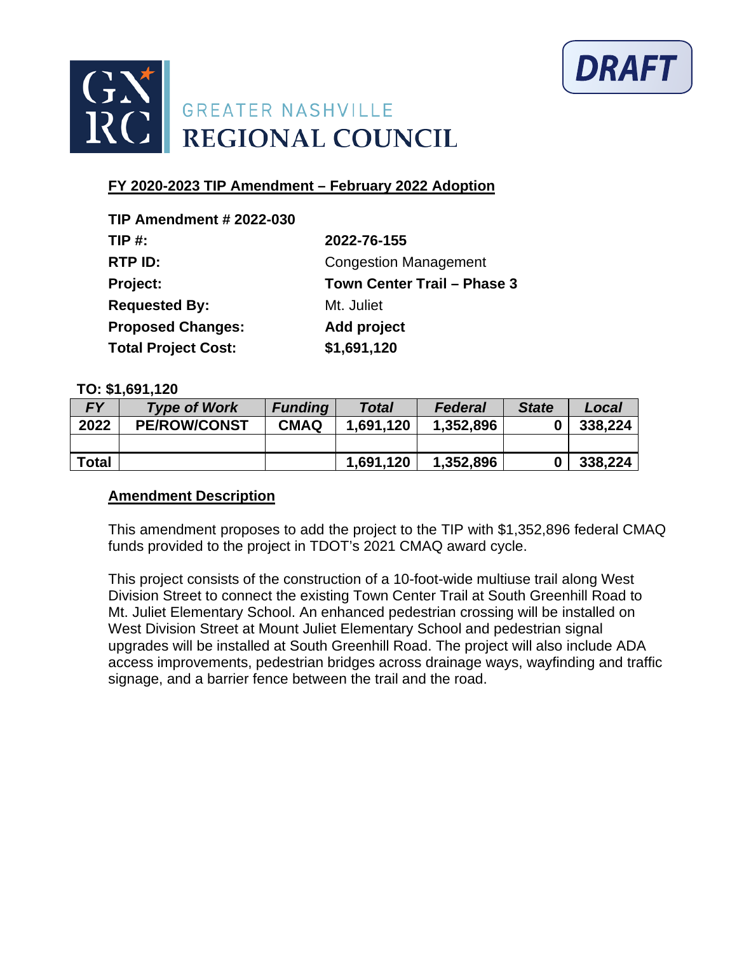



| <b>TIP Amendment # 2022-030</b> |                              |
|---------------------------------|------------------------------|
| TIP $#$ :                       | 2022-76-155                  |
| RTP ID:                         | <b>Congestion Management</b> |
| Project:                        | Town Center Trail - Phase 3  |
| <b>Requested By:</b>            | Mt. Juliet                   |
| <b>Proposed Changes:</b>        | Add project                  |
| <b>Total Project Cost:</b>      | \$1,691,120                  |

#### **TO: \$1,691,120**

| <b>FY</b>    | <b>Type of Work</b> | <b>Funding</b> | <b>Total</b> | <b>Federal</b> | <b>State</b> | Local   |
|--------------|---------------------|----------------|--------------|----------------|--------------|---------|
| 2022         | <b>PE/ROW/CONST</b> | <b>CMAQ</b>    | 1.691.120    | 1,352,896      |              | 338,224 |
|              |                     |                |              |                |              |         |
| <b>Total</b> |                     |                | 1,691,120    | 1,352,896      |              | 338,224 |

### **Amendment Description**

This amendment proposes to add the project to the TIP with \$1,352,896 federal CMAQ funds provided to the project in TDOT's 2021 CMAQ award cycle.

This project consists of the construction of a 10-foot-wide multiuse trail along West Division Street to connect the existing Town Center Trail at South Greenhill Road to Mt. Juliet Elementary School. An enhanced pedestrian crossing will be installed on West Division Street at Mount Juliet Elementary School and pedestrian signal upgrades will be installed at South Greenhill Road. The project will also include ADA access improvements, pedestrian bridges across drainage ways, wayfinding and traffic signage, and a barrier fence between the trail and the road.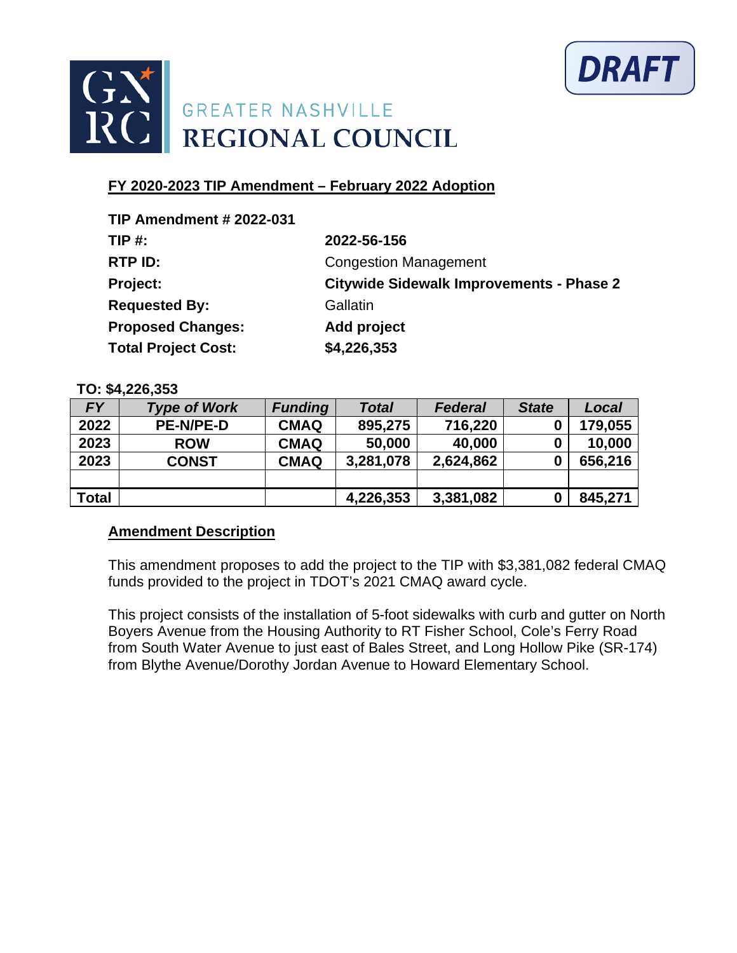



| <b>TIP Amendment # 2022-031</b> |                                                 |
|---------------------------------|-------------------------------------------------|
| $TIP#$ :                        | 2022-56-156                                     |
| RTP ID:                         | <b>Congestion Management</b>                    |
| Project:                        | <b>Citywide Sidewalk Improvements - Phase 2</b> |
| <b>Requested By:</b>            | Gallatin                                        |
| <b>Proposed Changes:</b>        | Add project                                     |
| <b>Total Project Cost:</b>      | \$4,226,353                                     |

### **TO: \$4,226,353**

| <b>FY</b>    | <b>Type of Work</b> | <b>Funding</b> | <b>Total</b> | <b>Federal</b> | <b>State</b> | Local   |
|--------------|---------------------|----------------|--------------|----------------|--------------|---------|
| 2022         | <b>PE-N/PE-D</b>    | <b>CMAQ</b>    | 895,275      | 716,220        | 0            | 179,055 |
| 2023         | <b>ROW</b>          | <b>CMAQ</b>    | 50,000       | 40,000         | 0            | 10,000  |
| 2023         | <b>CONST</b>        | <b>CMAQ</b>    | 3,281,078    | 2,624,862      | 0            | 656,216 |
|              |                     |                |              |                |              |         |
| <b>Total</b> |                     |                | 4,226,353    | 3,381,082      |              | 845,271 |

# **Amendment Description**

This amendment proposes to add the project to the TIP with \$3,381,082 federal CMAQ funds provided to the project in TDOT's 2021 CMAQ award cycle.

This project consists of the installation of 5-foot sidewalks with curb and gutter on North Boyers Avenue from the Housing Authority to RT Fisher School, Cole's Ferry Road from South Water Avenue to just east of Bales Street, and Long Hollow Pike (SR-174) from Blythe Avenue/Dorothy Jordan Avenue to Howard Elementary School.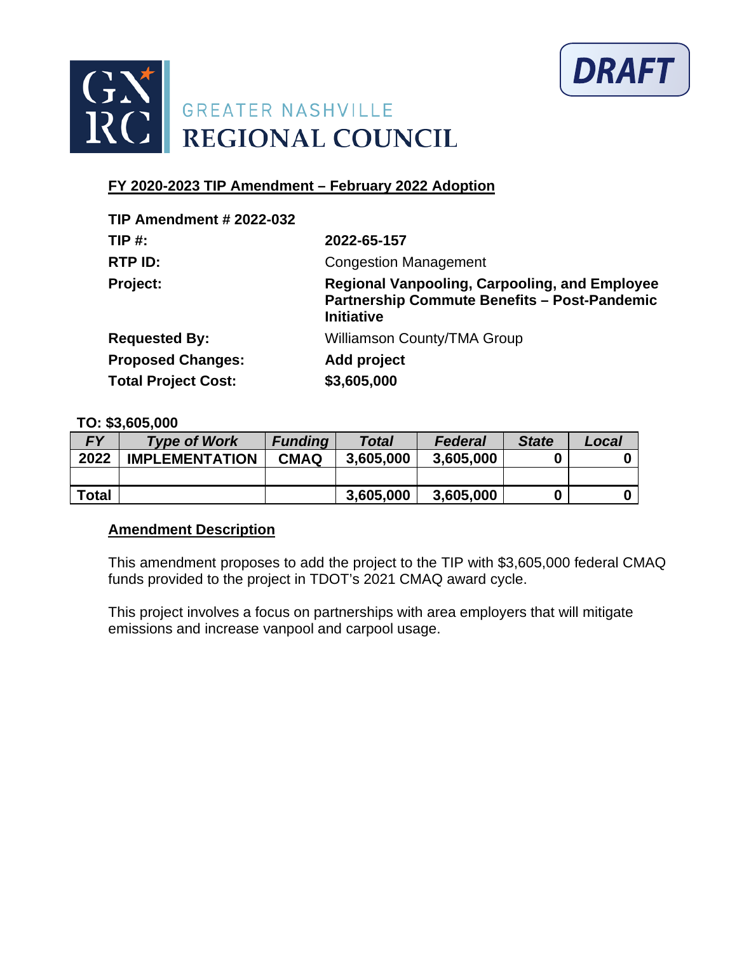



| <b>TIP Amendment # 2022-032</b> |                                                                                                                                  |
|---------------------------------|----------------------------------------------------------------------------------------------------------------------------------|
| $TIP#$ :                        | 2022-65-157                                                                                                                      |
| RTP ID:                         | <b>Congestion Management</b>                                                                                                     |
| <b>Project:</b>                 | <b>Regional Vanpooling, Carpooling, and Employee</b><br><b>Partnership Commute Benefits - Post-Pandemic</b><br><b>Initiative</b> |
| <b>Requested By:</b>            | <b>Williamson County/TMA Group</b>                                                                                               |
| <b>Proposed Changes:</b>        | Add project                                                                                                                      |
| <b>Total Project Cost:</b>      | \$3,605,000                                                                                                                      |

### **TO: \$3,605,000**

| EV           | <b>Type of Work</b>   | <b>Funding</b> | <b>Total</b> | <b>Federal</b> | <b>State</b> | Local |
|--------------|-----------------------|----------------|--------------|----------------|--------------|-------|
| 2022         | <b>IMPLEMENTATION</b> | <b>CMAQ</b>    | 3,605,000    | 3,605,000      |              |       |
|              |                       |                |              |                |              |       |
| <b>Total</b> |                       |                | 3,605,000    | 3,605,000      |              |       |

# **Amendment Description**

This amendment proposes to add the project to the TIP with \$3,605,000 federal CMAQ funds provided to the project in TDOT's 2021 CMAQ award cycle.

This project involves a focus on partnerships with area employers that will mitigate emissions and increase vanpool and carpool usage.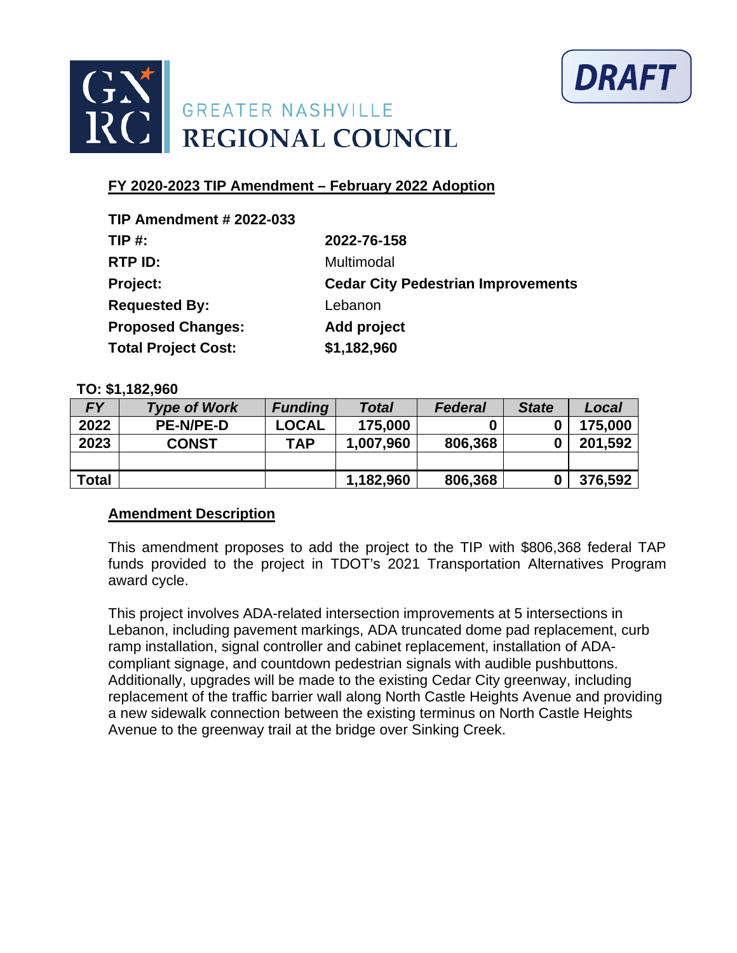



| <b>TIP Amendment # 2022-033</b> |                                           |
|---------------------------------|-------------------------------------------|
| $TIP#$ :                        | 2022-76-158                               |
| RTP ID:                         | Multimodal                                |
| Project:                        | <b>Cedar City Pedestrian Improvements</b> |
| <b>Requested By:</b>            | Lebanon                                   |
| <b>Proposed Changes:</b>        | Add project                               |
| <b>Total Project Cost:</b>      | \$1,182,960                               |

#### **TO: \$1,182,960**

| <b>FY</b>    | <b>Type of Work</b> | <b>Funding</b> | <b>Total</b> | <b>Federal</b> | <b>State</b> | Local   |
|--------------|---------------------|----------------|--------------|----------------|--------------|---------|
| 2022         | <b>PE-N/PE-D</b>    | <b>LOCAL</b>   | 175,000      |                |              | 175,000 |
| 2023         | <b>CONST</b>        | TAP            | 1,007,960    | 806,368        |              | 201,592 |
|              |                     |                |              |                |              |         |
| <b>Total</b> |                     |                | 1,182,960    | 806,368        |              | 376,592 |

### **Amendment Description**

This amendment proposes to add the project to the TIP with \$806,368 federal TAP funds provided to the project in TDOT's 2021 Transportation Alternatives Program award cycle.

This project involves ADA-related intersection improvements at 5 intersections in Lebanon, including pavement markings, ADA truncated dome pad replacement, curb ramp installation, signal controller and cabinet replacement, installation of ADAcompliant signage, and countdown pedestrian signals with audible pushbuttons. Additionally, upgrades will be made to the existing Cedar City greenway, including replacement of the traffic barrier wall along North Castle Heights Avenue and providing a new sidewalk connection between the existing terminus on North Castle Heights Avenue to the greenway trail at the bridge over Sinking Creek.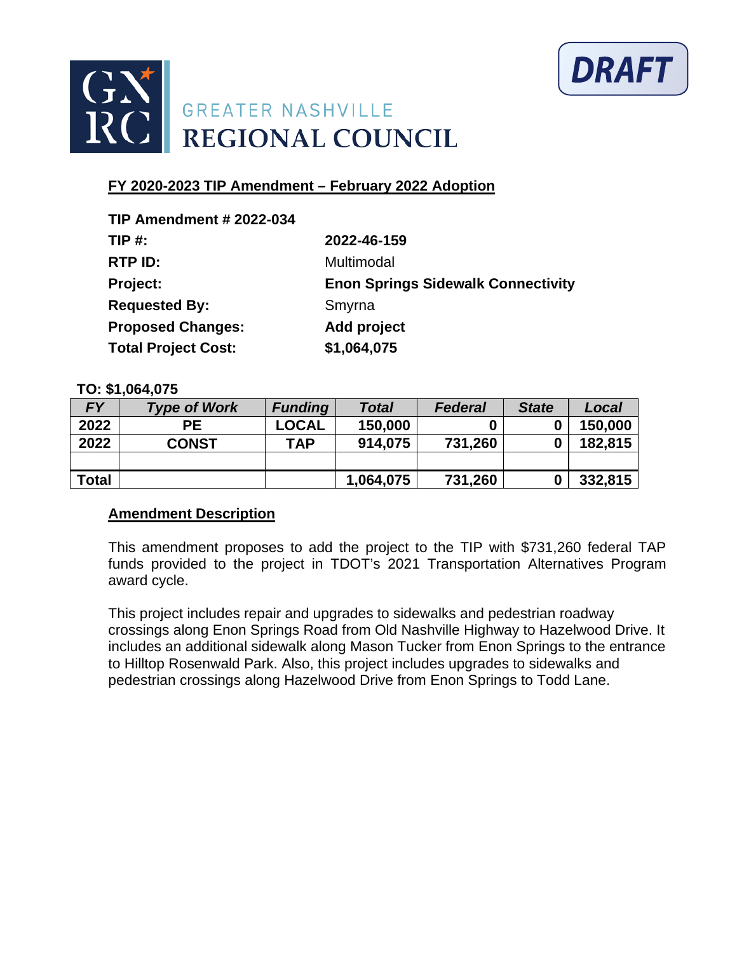



| <b>TIP Amendment # 2022-034</b> |                                           |
|---------------------------------|-------------------------------------------|
| TIP $#$ :                       | 2022-46-159                               |
| RTP ID:                         | Multimodal                                |
| Project:                        | <b>Enon Springs Sidewalk Connectivity</b> |
| <b>Requested By:</b>            | Smyrna                                    |
| <b>Proposed Changes:</b>        | <b>Add project</b>                        |
| <b>Total Project Cost:</b>      | \$1,064,075                               |

### **TO: \$1,064,075**

| <b>FY</b>    | <b>Type of Work</b> | <b>Funding</b> | <b>Total</b> | <b>Federal</b> | <b>State</b> | Local   |
|--------------|---------------------|----------------|--------------|----------------|--------------|---------|
| 2022         | <b>PE</b>           | <b>LOCAL</b>   | 150,000      |                | 0            | 150,000 |
| 2022         | <b>CONST</b>        | <b>TAP</b>     | 914,075      | 731,260        | 0            | 182,815 |
|              |                     |                |              |                |              |         |
| <b>Total</b> |                     |                | 1,064,075    | 731,260        | 0            | 332,815 |

# **Amendment Description**

This amendment proposes to add the project to the TIP with \$731,260 federal TAP funds provided to the project in TDOT's 2021 Transportation Alternatives Program award cycle.

This project includes repair and upgrades to sidewalks and pedestrian roadway crossings along Enon Springs Road from Old Nashville Highway to Hazelwood Drive. It includes an additional sidewalk along Mason Tucker from Enon Springs to the entrance to Hilltop Rosenwald Park. Also, this project includes upgrades to sidewalks and pedestrian crossings along Hazelwood Drive from Enon Springs to Todd Lane.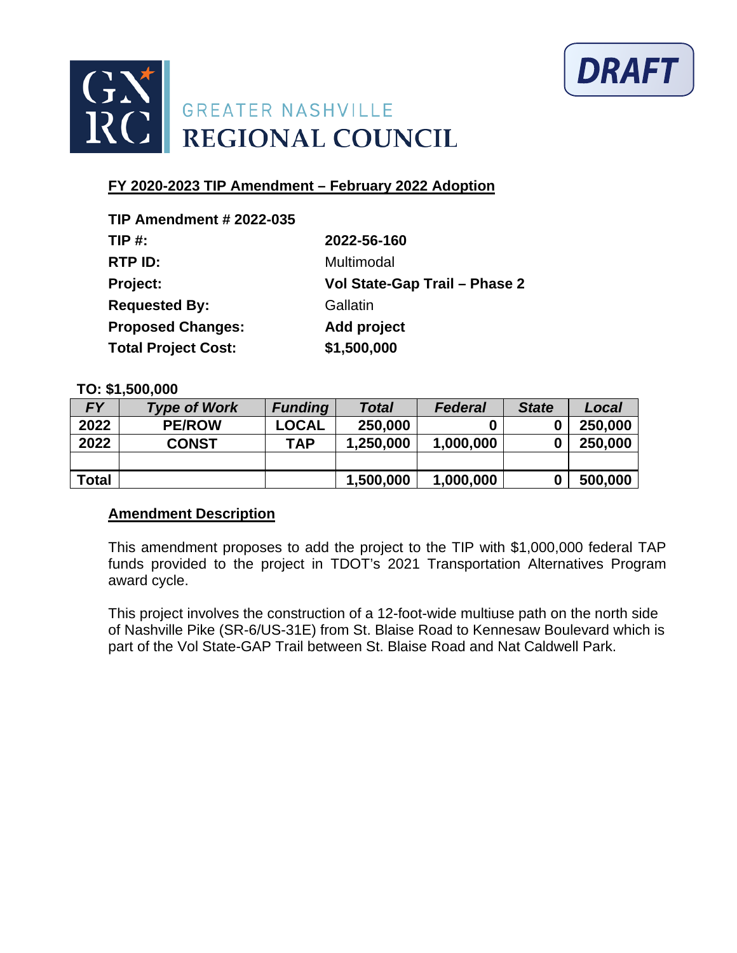



| <b>TIP Amendment # 2022-035</b> |                               |
|---------------------------------|-------------------------------|
| TIP $#$ :                       | 2022-56-160                   |
| RTP ID:                         | Multimodal                    |
| Project:                        | Vol State-Gap Trail - Phase 2 |
| <b>Requested By:</b>            | Gallatin                      |
| <b>Proposed Changes:</b>        | Add project                   |
| <b>Total Project Cost:</b>      | \$1,500,000                   |

### **TO: \$1,500,000**

| FΥ    | <b>Type of Work</b> | <b>Funding</b> | <b>Total</b> | <b>Federal</b> | <b>State</b> | Local   |
|-------|---------------------|----------------|--------------|----------------|--------------|---------|
| 2022  | <b>PE/ROW</b>       | <b>LOCAL</b>   | 250,000      |                | 0            | 250,000 |
| 2022  | <b>CONST</b>        | <b>TAP</b>     | 1,250,000    | 1,000,000      | 0            | 250,000 |
|       |                     |                |              |                |              |         |
| Total |                     |                | 1,500,000    | 1,000,000      | 0            | 500,000 |

### **Amendment Description**

This amendment proposes to add the project to the TIP with \$1,000,000 federal TAP funds provided to the project in TDOT's 2021 Transportation Alternatives Program award cycle.

This project involves the construction of a 12-foot-wide multiuse path on the north side of Nashville Pike (SR-6/US-31E) from St. Blaise Road to Kennesaw Boulevard which is part of the Vol State-GAP Trail between St. Blaise Road and Nat Caldwell Park.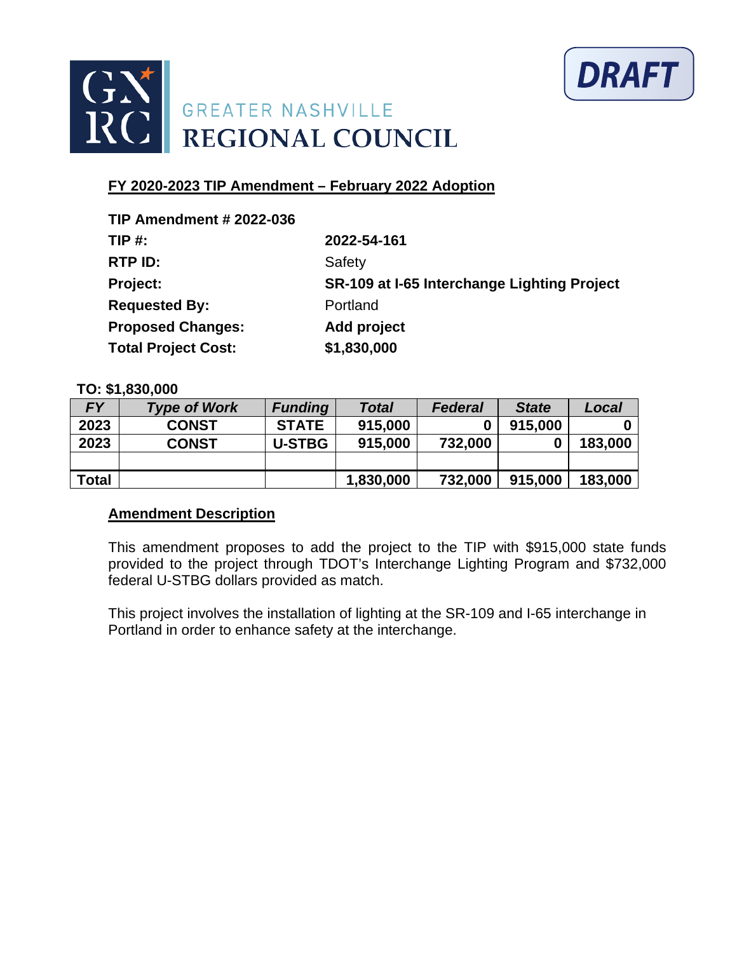



| <b>TIP Amendment # 2022-036</b> |                                             |
|---------------------------------|---------------------------------------------|
| $TIP#$ :                        | 2022-54-161                                 |
| RTP ID:                         | Safety                                      |
| Project:                        | SR-109 at I-65 Interchange Lighting Project |
| <b>Requested By:</b>            | Portland                                    |
| <b>Proposed Changes:</b>        | Add project                                 |
| <b>Total Project Cost:</b>      | \$1,830,000                                 |

### **TO: \$1,830,000**

| <b>FY</b>    | <b>Type of Work</b> | <b>Funding</b> | <b>Total</b> | <b>Federal</b> | <b>State</b> | Local   |
|--------------|---------------------|----------------|--------------|----------------|--------------|---------|
| 2023         | <b>CONST</b>        | <b>STATE</b>   | 915,000      |                | 915,000      |         |
| 2023         | <b>CONST</b>        | <b>U-STBG</b>  | 915,000      | 732,000        |              | 183,000 |
|              |                     |                |              |                |              |         |
| <b>Total</b> |                     |                | 1,830,000    | 732,000        | 915,000      | 183,000 |

### **Amendment Description**

This amendment proposes to add the project to the TIP with \$915,000 state funds provided to the project through TDOT's Interchange Lighting Program and \$732,000 federal U-STBG dollars provided as match.

This project involves the installation of lighting at the SR-109 and I-65 interchange in Portland in order to enhance safety at the interchange.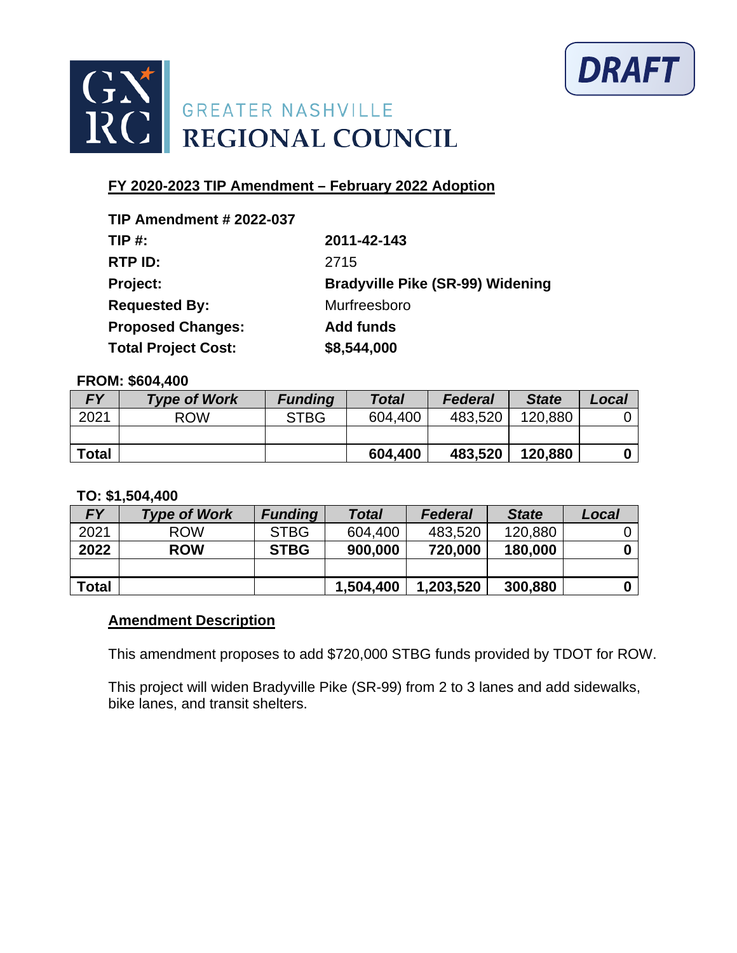



| <b>TIP Amendment # 2022-037</b> |                                         |
|---------------------------------|-----------------------------------------|
| $TIP#$ :                        | 2011-42-143                             |
| RTP ID:                         | 2715                                    |
| Project:                        | <b>Bradyville Pike (SR-99) Widening</b> |
| <b>Requested By:</b>            | Murfreesboro                            |
| <b>Proposed Changes:</b>        | <b>Add funds</b>                        |
| <b>Total Project Cost:</b>      | \$8,544,000                             |

#### **FROM: \$604,400**

| <b>FY</b>    | <b>Type of Work</b> | <b>Funding</b> | <b>Total</b> | <b>Federal</b> | <b>State</b> | Local |
|--------------|---------------------|----------------|--------------|----------------|--------------|-------|
| 2021         | <b>ROW</b>          | <b>STBG</b>    | 604,400      | 483,520        | 120,880      |       |
|              |                     |                |              |                |              |       |
| <b>Total</b> |                     |                | 604,400      | 483,520        | 120,880      |       |

#### **TO: \$1,504,400**

| <b>FY</b>    | <b>Type of Work</b> | <b>Funding</b> | <b>Total</b> | <b>Federal</b> | <b>State</b> | Local |
|--------------|---------------------|----------------|--------------|----------------|--------------|-------|
| 2021         | <b>ROW</b>          | <b>STBG</b>    | 604,400      | 483,520        | 120,880      |       |
| 2022         | <b>ROW</b>          | <b>STBG</b>    | 900,000      | 720,000        | 180,000      |       |
|              |                     |                |              |                |              |       |
| <b>Total</b> |                     |                | 1,504,400    | 1,203,520      | 300,880      |       |

### **Amendment Description**

This amendment proposes to add \$720,000 STBG funds provided by TDOT for ROW.

This project will widen Bradyville Pike (SR-99) from 2 to 3 lanes and add sidewalks, bike lanes, and transit shelters.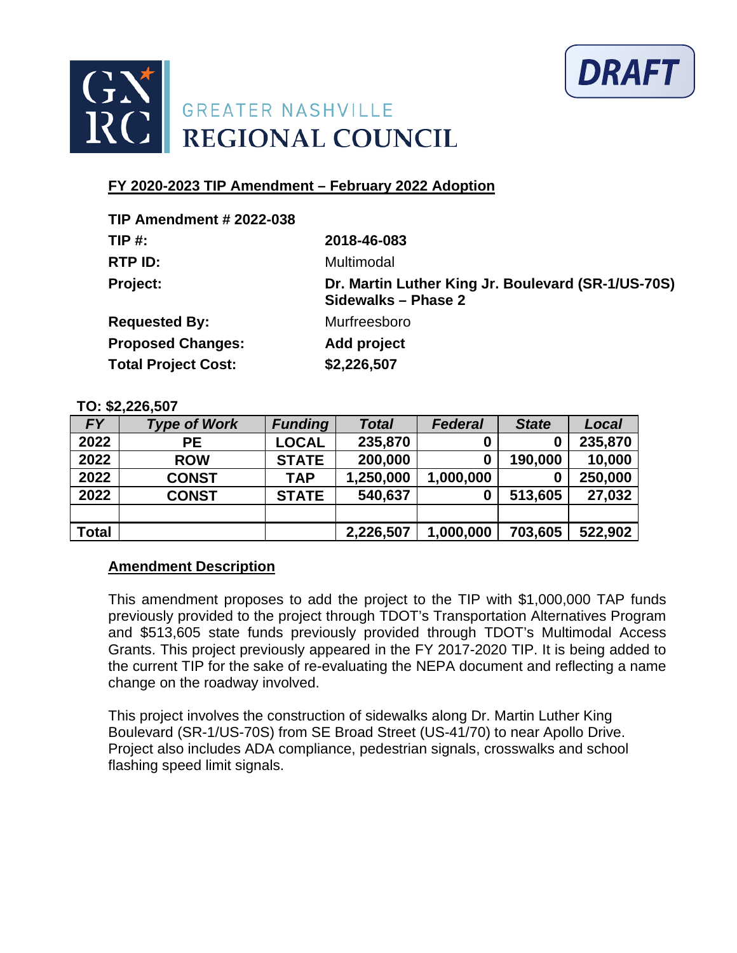



| Dr. Martin Luther King Jr. Boulevard (SR-1/US-70S) |
|----------------------------------------------------|
|                                                    |
|                                                    |
|                                                    |
|                                                    |

### **TO: \$2,226,507**

| <b>FY</b>    | <b>Type of Work</b> | <b>Funding</b> | <b>Total</b> | <b>Federal</b> | <b>State</b> | Local   |
|--------------|---------------------|----------------|--------------|----------------|--------------|---------|
| 2022         | <b>PE</b>           | <b>LOCAL</b>   | 235,870      | 0              | $\bf{0}$     | 235,870 |
| 2022         | <b>ROW</b>          | <b>STATE</b>   | 200,000      | 0              | 190,000      | 10,000  |
| 2022         | <b>CONST</b>        | TAP            | 1,250,000    | 1,000,000      | 0            | 250,000 |
| 2022         | <b>CONST</b>        | <b>STATE</b>   | 540,637      | 0              | 513,605      | 27,032  |
|              |                     |                |              |                |              |         |
| <b>Total</b> |                     |                | 2,226,507    | 1,000,000      | 703,605      | 522,902 |

# **Amendment Description**

This amendment proposes to add the project to the TIP with \$1,000,000 TAP funds previously provided to the project through TDOT's Transportation Alternatives Program and \$513,605 state funds previously provided through TDOT's Multimodal Access Grants. This project previously appeared in the FY 2017-2020 TIP. It is being added to the current TIP for the sake of re-evaluating the NEPA document and reflecting a name change on the roadway involved.

This project involves the construction of sidewalks along Dr. Martin Luther King Boulevard (SR-1/US-70S) from SE Broad Street (US-41/70) to near Apollo Drive. Project also includes ADA compliance, pedestrian signals, crosswalks and school flashing speed limit signals.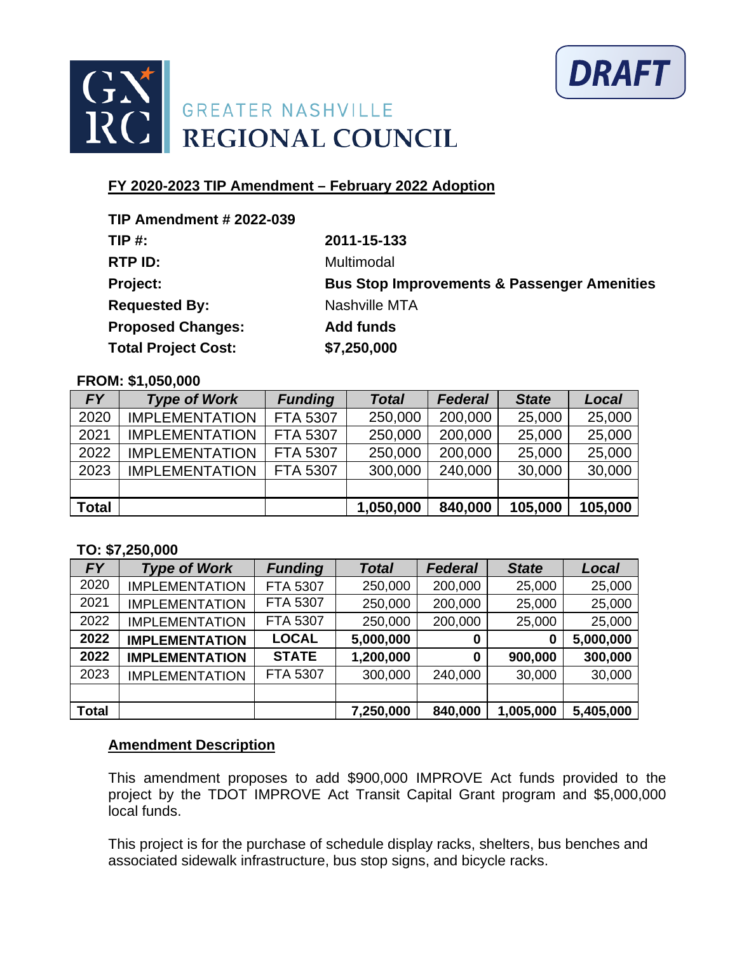



| <b>TIP Amendment # 2022-039</b> |                                                        |
|---------------------------------|--------------------------------------------------------|
| $TIP#$ :                        | 2011-15-133                                            |
| RTP ID:                         | Multimodal                                             |
| Project:                        | <b>Bus Stop Improvements &amp; Passenger Amenities</b> |
| <b>Requested By:</b>            | Nashville MTA                                          |
| <b>Proposed Changes:</b>        | <b>Add funds</b>                                       |
| <b>Total Project Cost:</b>      | \$7,250,000                                            |

#### **FROM: \$1,050,000**

| FY <b>F</b>  | <b>Type of Work</b>   | <b>Funding</b>  | <b>Total</b> | <b>Federal</b> | <b>State</b> | Local   |
|--------------|-----------------------|-----------------|--------------|----------------|--------------|---------|
| 2020         | <b>IMPLEMENTATION</b> | FTA 5307        | 250,000      | 200,000        | 25,000       | 25,000  |
| 2021         | <b>IMPLEMENTATION</b> | <b>FTA 5307</b> | 250,000      | 200,000        | 25,000       | 25,000  |
| 2022         | <b>IMPLEMENTATION</b> | <b>FTA 5307</b> | 250,000      | 200,000        | 25,000       | 25,000  |
| 2023         | <b>IMPLEMENTATION</b> | <b>FTA 5307</b> | 300,000      | 240,000        | 30,000       | 30,000  |
|              |                       |                 |              |                |              |         |
| <b>Total</b> |                       |                 | 1,050,000    | 840,000        | 105,000      | 105,000 |

### **TO: \$7,250,000**

| <b>FY</b>    | <b>Type of Work</b>   | <b>Funding</b> | <b>Total</b> | <b>Federal</b> | <b>State</b> | Local     |
|--------------|-----------------------|----------------|--------------|----------------|--------------|-----------|
| 2020         | <b>IMPLEMENTATION</b> | FTA 5307       | 250,000      | 200,000        | 25,000       | 25,000    |
| 2021         | <b>IMPLEMENTATION</b> | FTA 5307       | 250,000      | 200,000        | 25,000       | 25,000    |
| 2022         | <b>IMPLEMENTATION</b> | FTA 5307       | 250,000      | 200,000        | 25,000       | 25,000    |
| 2022         | <b>IMPLEMENTATION</b> | <b>LOCAL</b>   | 5,000,000    | 0              | 0            | 5,000,000 |
| 2022         | <b>IMPLEMENTATION</b> | <b>STATE</b>   | 1,200,000    | 0              | 900,000      | 300,000   |
| 2023         | <b>IMPLEMENTATION</b> | FTA 5307       | 300,000      | 240,000        | 30,000       | 30,000    |
|              |                       |                |              |                |              |           |
| <b>Total</b> |                       |                | 7,250,000    | 840,000        | 1,005,000    | 5,405,000 |

### **Amendment Description**

This amendment proposes to add \$900,000 IMPROVE Act funds provided to the project by the TDOT IMPROVE Act Transit Capital Grant program and \$5,000,000 local funds.

This project is for the purchase of schedule display racks, shelters, bus benches and associated sidewalk infrastructure, bus stop signs, and bicycle racks.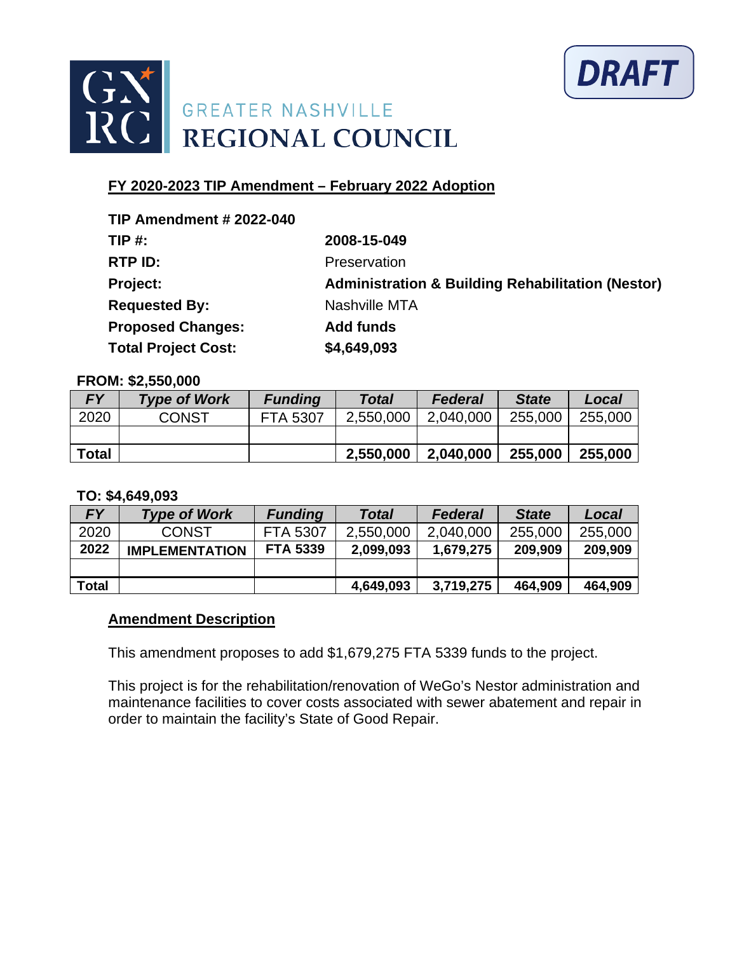



| <b>TIP Amendment # 2022-040</b> |                                                              |
|---------------------------------|--------------------------------------------------------------|
| <b>TIP #:</b>                   | 2008-15-049                                                  |
| RTP ID:                         | Preservation                                                 |
| Project:                        | <b>Administration &amp; Building Rehabilitation (Nestor)</b> |
| <b>Requested By:</b>            | Nashville MTA                                                |
| <b>Proposed Changes:</b>        | <b>Add funds</b>                                             |
| <b>Total Project Cost:</b>      | \$4,649,093                                                  |

#### **FROM: \$2,550,000**

| <b>FY</b>    | <b>Type of Work</b> | <b>Funding</b>  | <b>Total</b> | <b>Federal</b> | <b>State</b> | Local   |
|--------------|---------------------|-----------------|--------------|----------------|--------------|---------|
| 2020         | <b>CONST</b>        | <b>FTA 5307</b> | 2,550,000    | 2,040,000      | 255,000      | 255,000 |
|              |                     |                 |              |                |              |         |
| <b>Total</b> |                     |                 | 2,550,000    | 2,040,000      | 255,000      | 255,000 |

#### **TO: \$4,649,093**

| <b>FY</b>    | <b>Type of Work</b>   | <b>Funding</b>  | Total     | <b>Federal</b> | <b>State</b> | Local   |
|--------------|-----------------------|-----------------|-----------|----------------|--------------|---------|
| 2020         | <b>CONST</b>          | <b>FTA 5307</b> | 2,550,000 | 2,040,000      | 255,000      | 255,000 |
| 2022         | <b>IMPLEMENTATION</b> | <b>FTA 5339</b> | 2,099,093 | 1,679,275      | 209,909      | 209,909 |
|              |                       |                 |           |                |              |         |
| <b>Total</b> |                       |                 | 4,649,093 | 3,719,275      | 464,909      | 464,909 |

### **Amendment Description**

This amendment proposes to add \$1,679,275 FTA 5339 funds to the project.

This project is for the rehabilitation/renovation of WeGo's Nestor administration and maintenance facilities to cover costs associated with sewer abatement and repair in order to maintain the facility's State of Good Repair.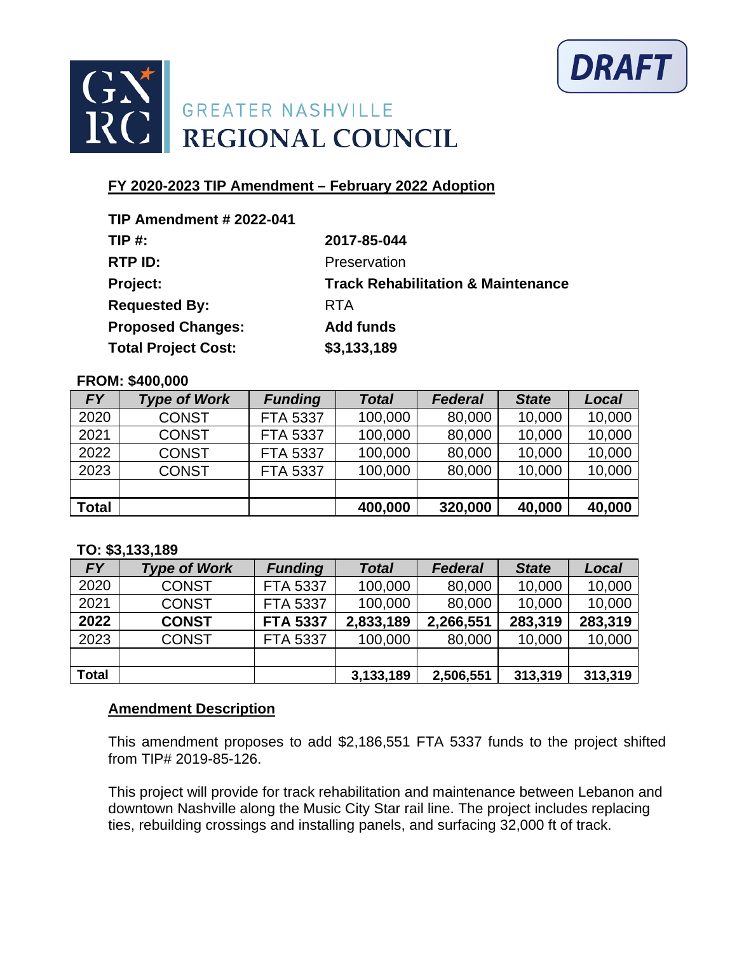



| <b>TIP Amendment # 2022-041</b> |                                               |
|---------------------------------|-----------------------------------------------|
| TIP $#$ :                       | 2017-85-044                                   |
| RTP ID:                         | Preservation                                  |
| Project:                        | <b>Track Rehabilitation &amp; Maintenance</b> |
| <b>Requested By:</b>            | <b>RTA</b>                                    |
| <b>Proposed Changes:</b>        | <b>Add funds</b>                              |
| <b>Total Project Cost:</b>      | \$3,133,189                                   |

#### **FROM: \$400,000**

| <b>FY</b>    | <b>Type of Work</b> | <b>Funding</b>  | <b>Total</b> | <b>Federal</b> | <b>State</b> | Local  |
|--------------|---------------------|-----------------|--------------|----------------|--------------|--------|
| 2020         | <b>CONST</b>        | <b>FTA 5337</b> | 100,000      | 80,000         | 10,000       | 10,000 |
| 2021         | <b>CONST</b>        | <b>FTA 5337</b> | 100,000      | 80,000         | 10,000       | 10,000 |
| 2022         | <b>CONST</b>        | <b>FTA 5337</b> | 100,000      | 80,000         | 10,000       | 10,000 |
| 2023         | <b>CONST</b>        | FTA 5337        | 100,000      | 80,000         | 10,000       | 10,000 |
|              |                     |                 |              |                |              |        |
| <b>Total</b> |                     |                 | 400,000      | 320,000        | 40,000       | 40,000 |

### **TO: \$3,133,189**

| <b>FY</b>    | <b>Type of Work</b> | <b>Funding</b>  | <b>Total</b> | <b>Federal</b> | <b>State</b> | Local   |
|--------------|---------------------|-----------------|--------------|----------------|--------------|---------|
| 2020         | <b>CONST</b>        | <b>FTA 5337</b> | 100,000      | 80,000         | 10,000       | 10,000  |
| 2021         | <b>CONST</b>        | <b>FTA 5337</b> | 100,000      | 80,000         | 10,000       | 10,000  |
| 2022         | <b>CONST</b>        | <b>FTA 5337</b> | 2,833,189    | 2,266,551      | 283,319      | 283,319 |
| 2023         | <b>CONST</b>        | <b>FTA 5337</b> | 100,000      | 80,000         | 10,000       | 10,000  |
|              |                     |                 |              |                |              |         |
| <b>Total</b> |                     |                 | 3,133,189    | 2,506,551      | 313,319      | 313,319 |

### **Amendment Description**

This amendment proposes to add \$2,186,551 FTA 5337 funds to the project shifted from TIP# 2019-85-126.

This project will provide for track rehabilitation and maintenance between Lebanon and downtown Nashville along the Music City Star rail line. The project includes replacing ties, rebuilding crossings and installing panels, and surfacing 32,000 ft of track.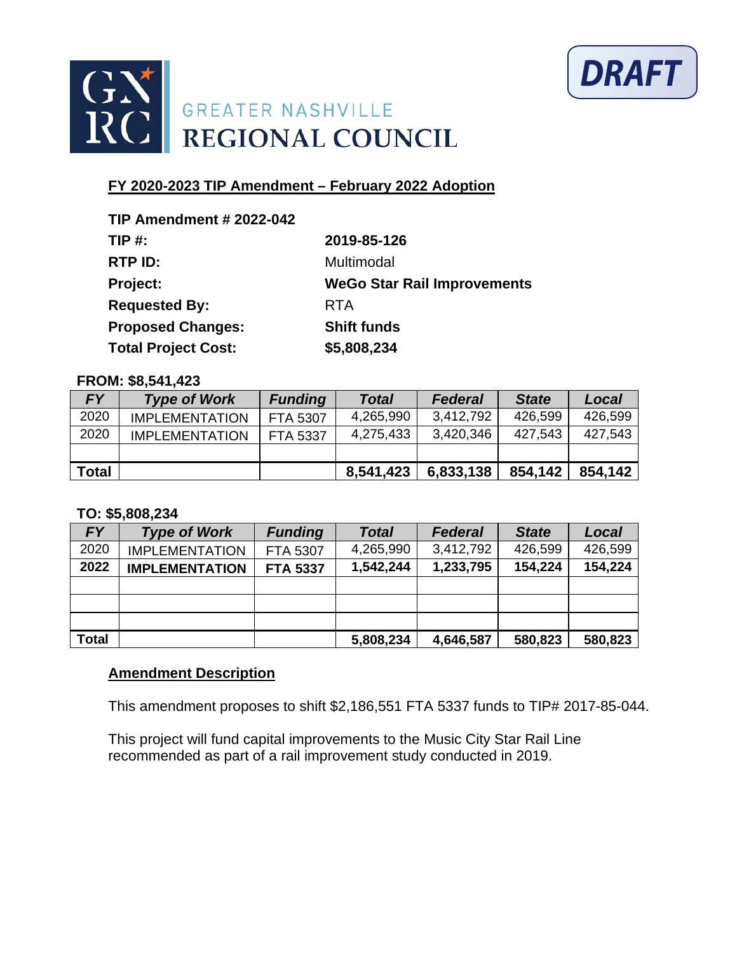



| 2019-85-126                        |
|------------------------------------|
| Multimodal                         |
| <b>WeGo Star Rail Improvements</b> |
| <b>RTA</b>                         |
| <b>Shift funds</b>                 |
| \$5,808,234                        |
|                                    |

#### **FROM: \$8,541,423**

| <b>FY</b>    | <b>Type of Work</b>   | <b>Funding</b>  | <b>Total</b> | <b>Federal</b> | <b>State</b> | Local   |
|--------------|-----------------------|-----------------|--------------|----------------|--------------|---------|
| 2020         | <b>IMPLEMENTATION</b> | <b>FTA 5307</b> | 4,265,990    | 3,412,792      | 426,599      | 426,599 |
| 2020         | <b>IMPLEMENTATION</b> | <b>FTA 5337</b> | 4,275,433    | 3,420,346      | 427,543      | 427,543 |
|              |                       |                 |              |                |              |         |
| <b>Total</b> |                       |                 | 8,541,423    | 6,833,138      | 854,142      | 854,142 |

### **TO: \$5,808,234**

| <b>FY</b>    | <b>Type of Work</b>   | <b>Funding</b>  | <b>Total</b> | <b>Federal</b> | <b>State</b> | Local   |
|--------------|-----------------------|-----------------|--------------|----------------|--------------|---------|
| 2020         | <b>IMPLEMENTATION</b> | FTA 5307        | 4,265,990    | 3,412,792      | 426,599      | 426,599 |
| 2022         | <b>IMPLEMENTATION</b> | <b>FTA 5337</b> | 1,542,244    | 1,233,795      | 154,224      | 154,224 |
|              |                       |                 |              |                |              |         |
|              |                       |                 |              |                |              |         |
|              |                       |                 |              |                |              |         |
| <b>Total</b> |                       |                 | 5,808,234    | 4,646,587      | 580,823      | 580,823 |

### **Amendment Description**

This amendment proposes to shift \$2,186,551 FTA 5337 funds to TIP# 2017-85-044.

This project will fund capital improvements to the Music City Star Rail Line recommended as part of a rail improvement study conducted in 2019.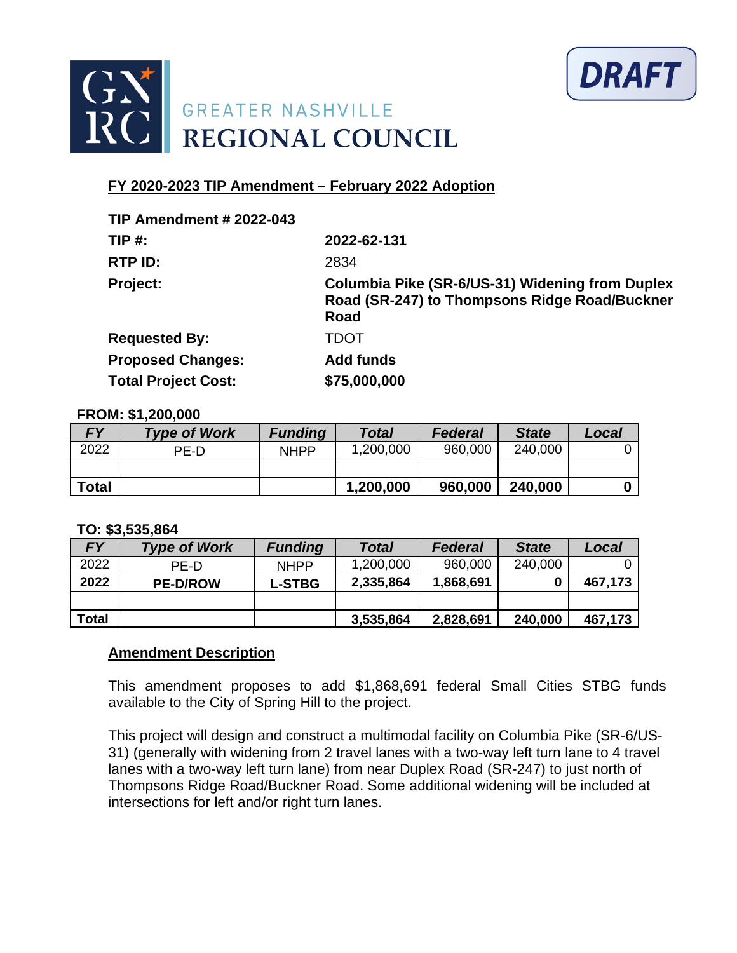



| <b>TIP Amendment # 2022-043</b> |                                                                                                          |
|---------------------------------|----------------------------------------------------------------------------------------------------------|
| TIP#                            | 2022-62-131                                                                                              |
| RTP ID:                         | 2834                                                                                                     |
| <b>Project:</b>                 | Columbia Pike (SR-6/US-31) Widening from Duplex<br>Road (SR-247) to Thompsons Ridge Road/Buckner<br>Road |
| <b>Requested By:</b>            | TDOT                                                                                                     |
| <b>Proposed Changes:</b>        | <b>Add funds</b>                                                                                         |
| <b>Total Project Cost:</b>      | \$75,000,000                                                                                             |

#### **FROM: \$1,200,000**

| <b>FY</b>    | <b>Type of Work</b> | <b>Funding</b> | Total     | <b>Federal</b> | <b>State</b> | Local |
|--------------|---------------------|----------------|-----------|----------------|--------------|-------|
| 2022         | PF-D                | <b>NHPP</b>    | 1,200,000 | 960,000        | 240,000      |       |
|              |                     |                |           |                |              |       |
| <b>Total</b> |                     |                | 1,200,000 | 960,000        | 240,000      |       |

#### **TO: \$3,535,864**

| <b>FY</b>    | <b>Type of Work</b> | <b>Funding</b> | <b>Total</b> | <b>Federal</b> | <b>State</b> | Local   |
|--------------|---------------------|----------------|--------------|----------------|--------------|---------|
| 2022         | PF-D                | <b>NHPP</b>    | 1,200,000    | 960,000        | 240,000      |         |
| 2022         | <b>PE-D/ROW</b>     | <b>L-STBG</b>  | 2,335,864    | 1,868,691      | 0            | 467,173 |
|              |                     |                |              |                |              |         |
| <b>Total</b> |                     |                | 3,535,864    | 2,828,691      | 240,000      | 467,173 |

### **Amendment Description**

This amendment proposes to add \$1,868,691 federal Small Cities STBG funds available to the City of Spring Hill to the project.

This project will design and construct a multimodal facility on Columbia Pike (SR-6/US-31) (generally with widening from 2 travel lanes with a two-way left turn lane to 4 travel lanes with a two-way left turn lane) from near Duplex Road (SR-247) to just north of Thompsons Ridge Road/Buckner Road. Some additional widening will be included at intersections for left and/or right turn lanes.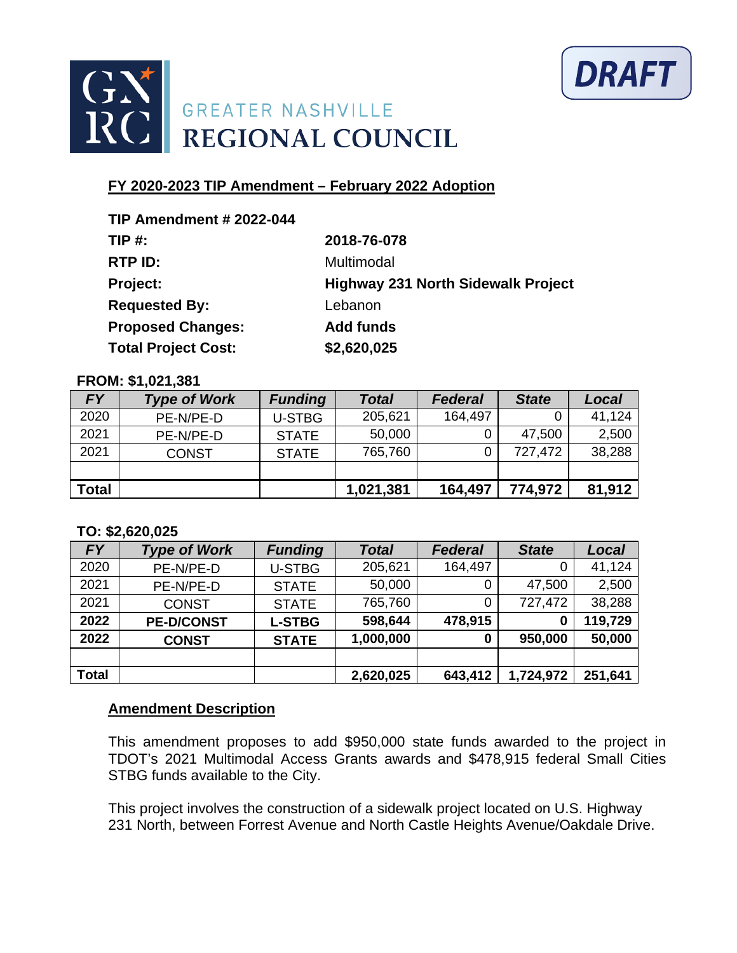



| <b>TIP Amendment # 2022-044</b> |                                           |
|---------------------------------|-------------------------------------------|
| $TIP#$ :                        | 2018-76-078                               |
| RTP ID:                         | Multimodal                                |
| Project:                        | <b>Highway 231 North Sidewalk Project</b> |
| <b>Requested By:</b>            | Lebanon                                   |
| <b>Proposed Changes:</b>        | <b>Add funds</b>                          |
| <b>Total Project Cost:</b>      | \$2,620,025                               |

#### **FROM: \$1,021,381**

| <b>FY</b>    | <b>Type of Work</b> | <b>Funding</b> | <b>Total</b> | <b>Federal</b> | <b>State</b> | Local  |
|--------------|---------------------|----------------|--------------|----------------|--------------|--------|
| 2020         | PE-N/PE-D           | <b>U-STBG</b>  | 205,621      | 164,497        |              | 41,124 |
| 2021         | PE-N/PE-D           | <b>STATE</b>   | 50,000       |                | 47,500       | 2,500  |
| 2021         | <b>CONST</b>        | <b>STATE</b>   | 765,760      |                | 727,472      | 38,288 |
|              |                     |                |              |                |              |        |
| <b>Total</b> |                     |                | 1,021,381    | 164,497        | 774,972      | 81,912 |

### **TO: \$2,620,025**

| <b>FY</b>    | <b>Type of Work</b> | <b>Funding</b> | <b>Total</b> | <b>Federal</b> | <b>State</b> | Local   |
|--------------|---------------------|----------------|--------------|----------------|--------------|---------|
| 2020         | PE-N/PE-D           | <b>U-STBG</b>  | 205,621      | 164,497        |              | 41,124  |
| 2021         | PE-N/PE-D           | <b>STATE</b>   | 50,000       |                | 47,500       | 2,500   |
| 2021         | <b>CONST</b>        | <b>STATE</b>   | 765,760      |                | 727,472      | 38,288  |
| 2022         | <b>PE-D/CONST</b>   | <b>L-STBG</b>  | 598,644      | 478,915        | 0            | 119,729 |
| 2022         | <b>CONST</b>        | <b>STATE</b>   | 1,000,000    | 0              | 950,000      | 50,000  |
|              |                     |                |              |                |              |         |
| <b>Total</b> |                     |                | 2,620,025    | 643,412        | 1,724,972    | 251,641 |

### **Amendment Description**

This amendment proposes to add \$950,000 state funds awarded to the project in TDOT's 2021 Multimodal Access Grants awards and \$478,915 federal Small Cities STBG funds available to the City.

This project involves the construction of a sidewalk project located on U.S. Highway 231 North, between Forrest Avenue and North Castle Heights Avenue/Oakdale Drive.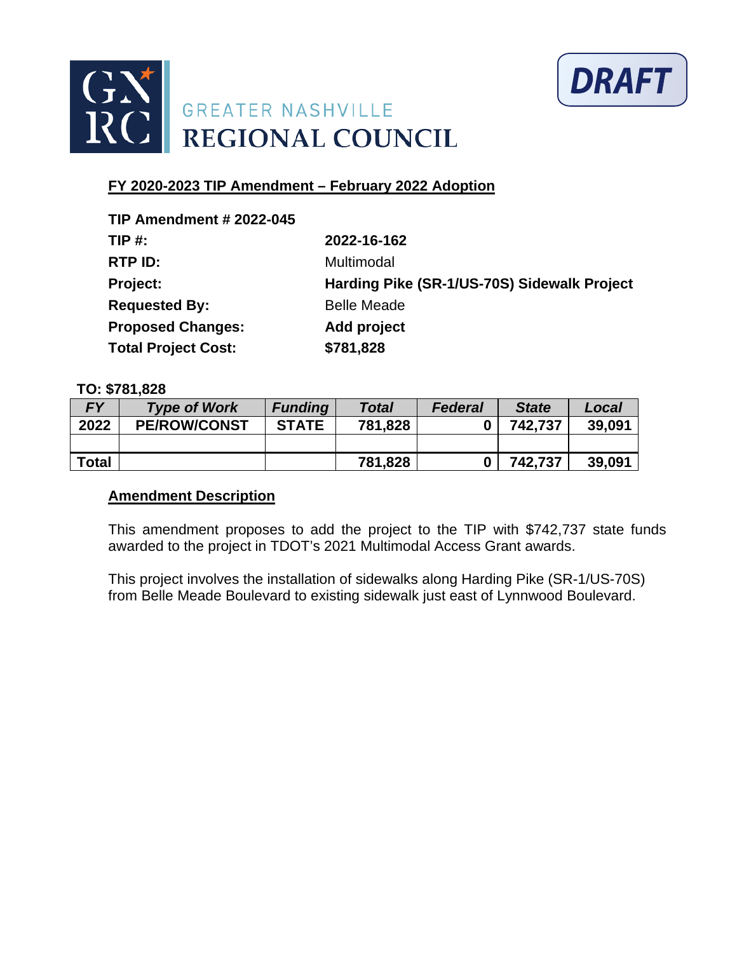



| <b>TIP Amendment # 2022-045</b> |                                             |
|---------------------------------|---------------------------------------------|
| TIP #:                          | 2022-16-162                                 |
| RTP ID:                         | Multimodal                                  |
| Project:                        | Harding Pike (SR-1/US-70S) Sidewalk Project |
| <b>Requested By:</b>            | <b>Belle Meade</b>                          |
| <b>Proposed Changes:</b>        | Add project                                 |
| <b>Total Project Cost:</b>      | \$781,828                                   |

### **TO: \$781,828**

| <b>FY</b>    | <b>Type of Work</b> | <b>Funding</b> | <b>Total</b> | <b>Federal</b> | <b>State</b> | Local  |
|--------------|---------------------|----------------|--------------|----------------|--------------|--------|
| 2022         | <b>PE/ROW/CONST</b> | <b>STATE</b>   | 781,828      |                | 742.737      | 39,091 |
|              |                     |                |              |                |              |        |
| <b>Total</b> |                     |                | 781,828      |                | 742,737      | 39,091 |

### **Amendment Description**

This amendment proposes to add the project to the TIP with \$742,737 state funds awarded to the project in TDOT's 2021 Multimodal Access Grant awards.

This project involves the installation of sidewalks along Harding Pike (SR-1/US-70S) from Belle Meade Boulevard to existing sidewalk just east of Lynnwood Boulevard.